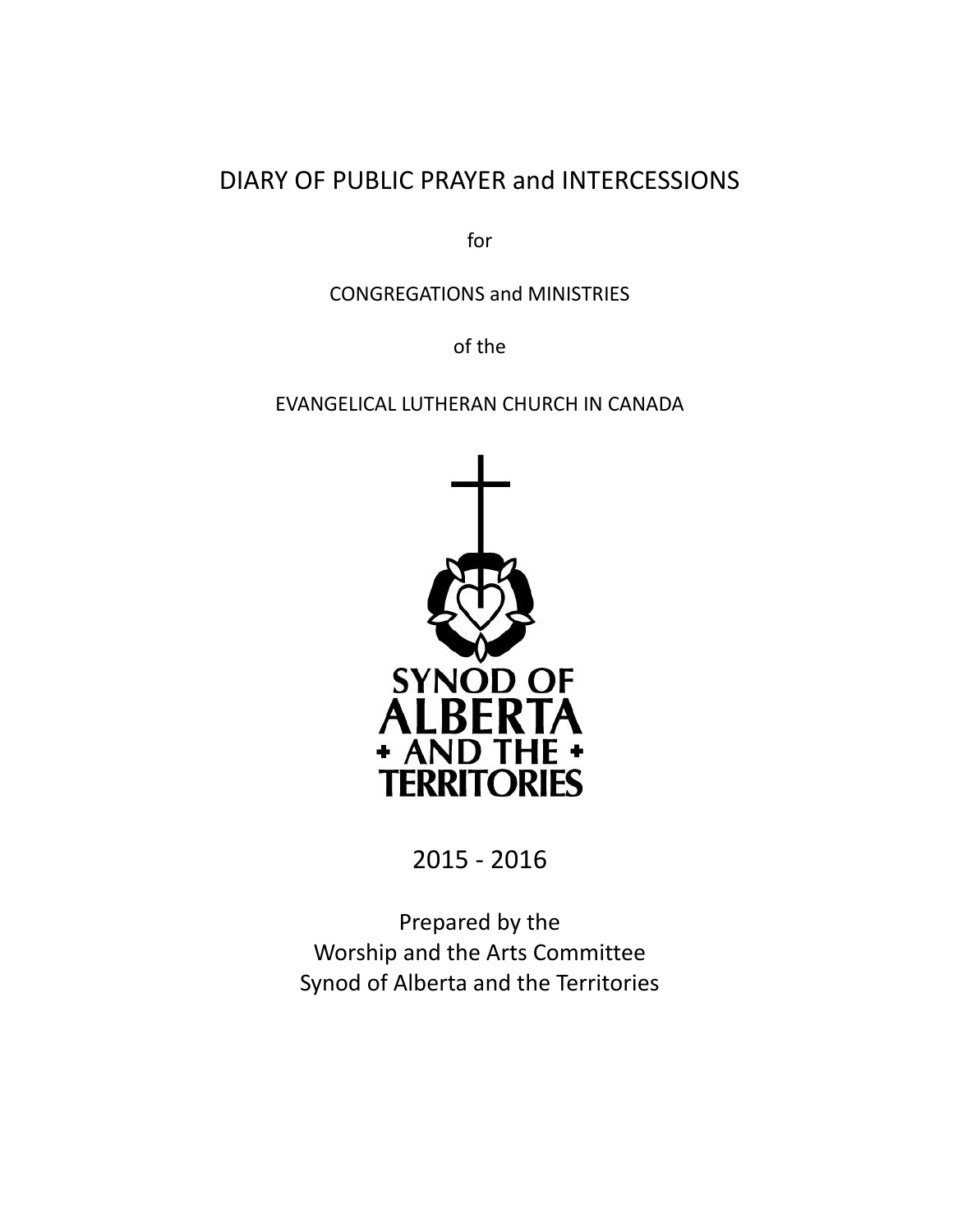# DIARY OF PUBLIC PRAYER and INTERCESSIONS

for

CONGREGATIONS and MINISTRIES

of the

#### EVANGELICAL LUTHERAN CHURCH IN CANADA



2015 - 2016

Prepared by the Worship and the Arts Committee Synod of Alberta and the Territories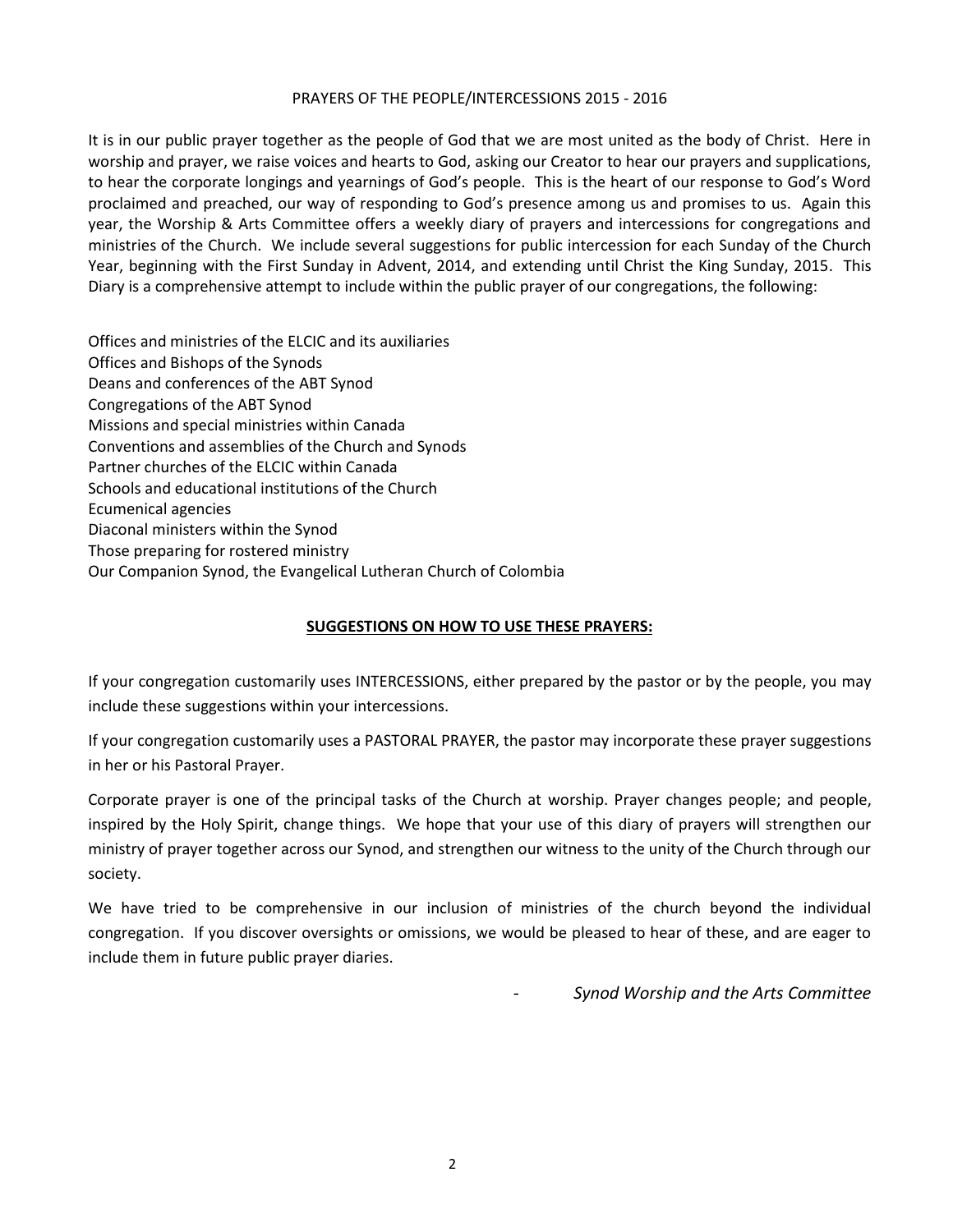#### PRAYERS OF THE PEOPLE/INTERCESSIONS 2015 - 2016

It is in our public prayer together as the people of God that we are most united as the body of Christ. Here in worship and prayer, we raise voices and hearts to God, asking our Creator to hear our prayers and supplications, to hear the corporate longings and yearnings of God's people. This is the heart of our response to God's Word proclaimed and preached, our way of responding to God's presence among us and promises to us. Again this year, the Worship & Arts Committee offers a weekly diary of prayers and intercessions for congregations and ministries of the Church. We include several suggestions for public intercession for each Sunday of the Church Year, beginning with the First Sunday in Advent, 2014, and extending until Christ the King Sunday, 2015. This Diary is a comprehensive attempt to include within the public prayer of our congregations, the following:

Offices and ministries of the ELCIC and its auxiliaries Offices and Bishops of the Synods Deans and conferences of the ABT Synod Congregations of the ABT Synod Missions and special ministries within Canada Conventions and assemblies of the Church and Synods Partner churches of the ELCIC within Canada Schools and educational institutions of the Church Ecumenical agencies Diaconal ministers within the Synod Those preparing for rostered ministry Our Companion Synod, the Evangelical Lutheran Church of Colombia

#### **SUGGESTIONS ON HOW TO USE THESE PRAYERS:**

If your congregation customarily uses INTERCESSIONS, either prepared by the pastor or by the people, you may include these suggestions within your intercessions.

If your congregation customarily uses a PASTORAL PRAYER, the pastor may incorporate these prayer suggestions in her or his Pastoral Prayer.

Corporate prayer is one of the principal tasks of the Church at worship. Prayer changes people; and people, inspired by the Holy Spirit, change things. We hope that your use of this diary of prayers will strengthen our ministry of prayer together across our Synod, and strengthen our witness to the unity of the Church through our society.

We have tried to be comprehensive in our inclusion of ministries of the church beyond the individual congregation. If you discover oversights or omissions, we would be pleased to hear of these, and are eager to include them in future public prayer diaries.

- *Synod Worship and the Arts Committee*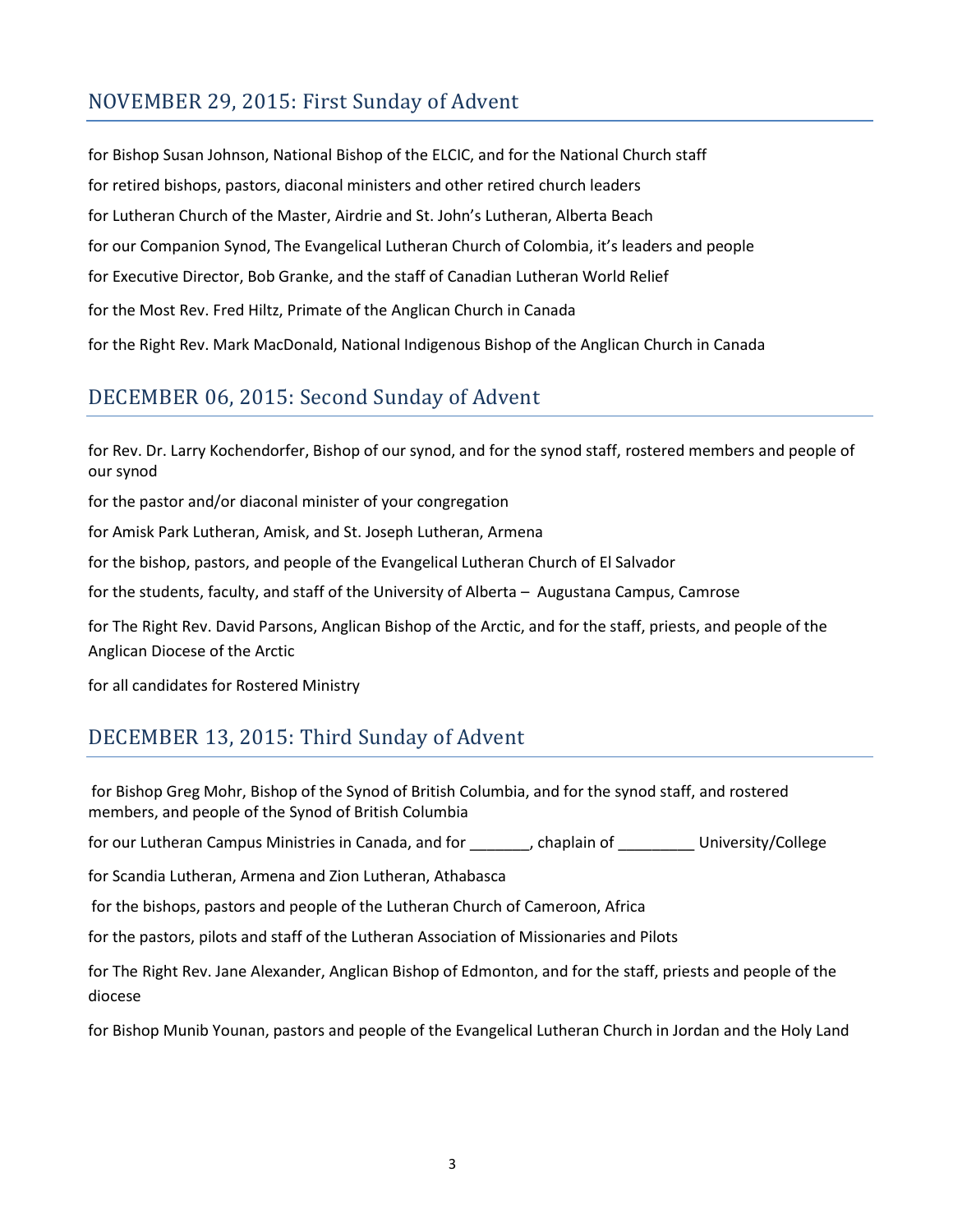## NOVEMBER 29, 2015: First Sunday of Advent

for Bishop Susan Johnson, National Bishop of the ELCIC, and for the National Church staff for retired bishops, pastors, diaconal ministers and other retired church leaders for Lutheran Church of the Master, Airdrie and St. John's Lutheran, Alberta Beach for our Companion Synod, The Evangelical Lutheran Church of Colombia, it's leaders and people for Executive Director, Bob Granke, and the staff of Canadian Lutheran World Relief for the Most Rev. Fred Hiltz, Primate of the Anglican Church in Canada for the Right Rev. Mark MacDonald, National Indigenous Bishop of the Anglican Church in Canada

## DECEMBER 06, 2015: Second Sunday of Advent

for Rev. Dr. Larry Kochendorfer, Bishop of our synod, and for the synod staff, rostered members and people of our synod

for the pastor and/or diaconal minister of your congregation

for Amisk Park Lutheran, Amisk, and St. Joseph Lutheran, Armena

for the bishop, pastors, and people of the Evangelical Lutheran Church of El Salvador

for the students, faculty, and staff of the University of Alberta – Augustana Campus, Camrose

for The Right Rev. David Parsons, Anglican Bishop of the Arctic, and for the staff, priests, and people of the Anglican Diocese of the Arctic

for all candidates for Rostered Ministry

## DECEMBER 13, 2015: Third Sunday of Advent

for Bishop Greg Mohr, Bishop of the Synod of British Columbia, and for the synod staff, and rostered members, and people of the Synod of British Columbia

for our Lutheran Campus Ministries in Canada, and for \_\_\_\_\_\_\_, chaplain of \_\_\_\_\_\_\_\_\_ University/College

for Scandia Lutheran, Armena and Zion Lutheran, Athabasca

for the bishops, pastors and people of the Lutheran Church of Cameroon, Africa

for the pastors, pilots and staff of the Lutheran Association of Missionaries and Pilots

for The Right Rev. Jane Alexander, Anglican Bishop of Edmonton, and for the staff, priests and people of the diocese

for Bishop Munib Younan, pastors and people of the Evangelical Lutheran Church in Jordan and the Holy Land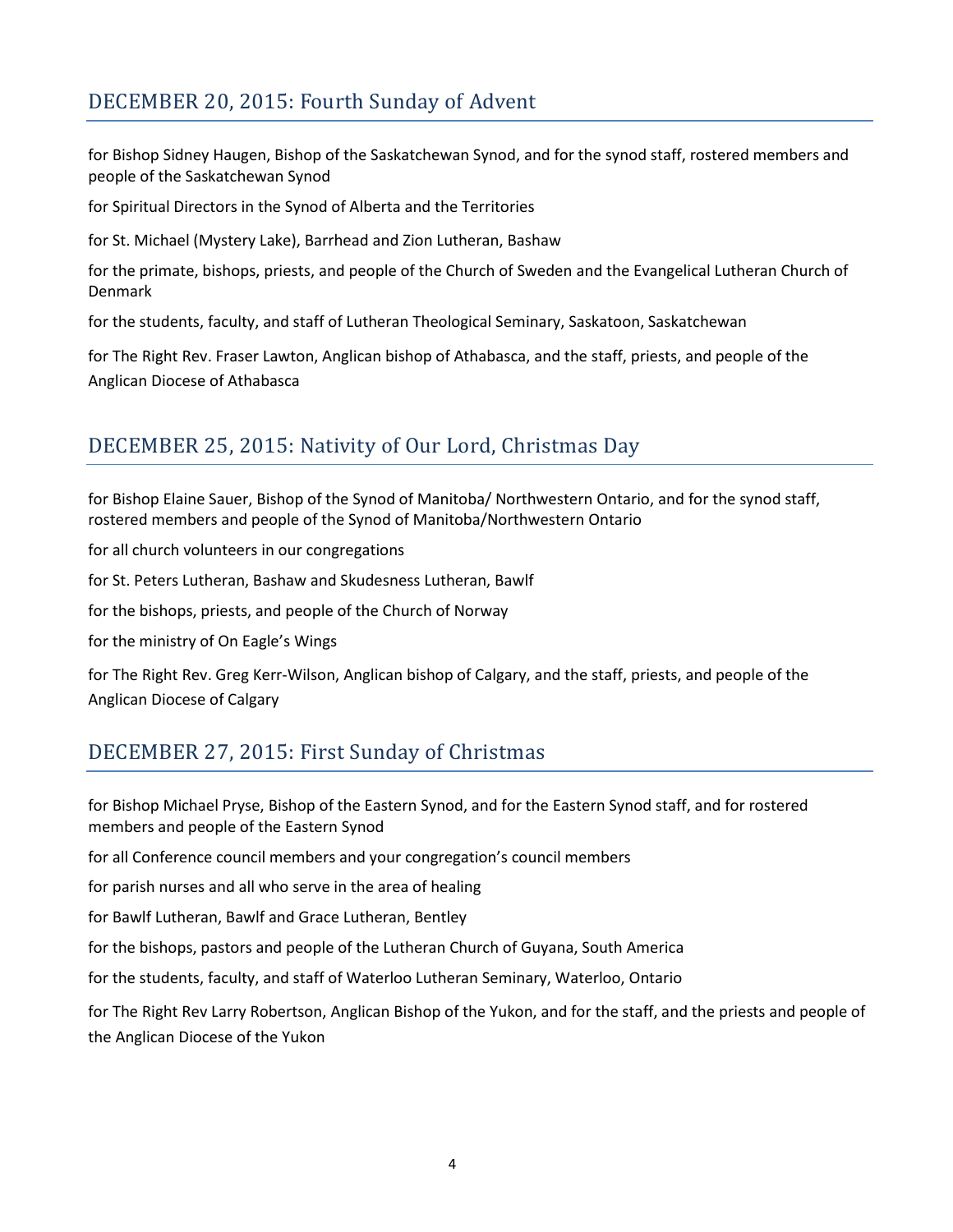# DECEMBER 20, 2015: Fourth Sunday of Advent

for Bishop Sidney Haugen, Bishop of the Saskatchewan Synod, and for the synod staff, rostered members and people of the Saskatchewan Synod

for Spiritual Directors in the Synod of Alberta and the Territories

for St. Michael (Mystery Lake), Barrhead and Zion Lutheran, Bashaw

for the primate, bishops, priests, and people of the Church of Sweden and the Evangelical Lutheran Church of Denmark

for the students, faculty, and staff of Lutheran Theological Seminary, Saskatoon, Saskatchewan

for The Right Rev. Fraser Lawton, Anglican bishop of Athabasca, and the staff, priests, and people of the Anglican Diocese of Athabasca

### DECEMBER 25, 2015: Nativity of Our Lord, Christmas Day

for Bishop Elaine Sauer, Bishop of the Synod of Manitoba/ Northwestern Ontario, and for the synod staff, rostered members and people of the Synod of Manitoba/Northwestern Ontario

for all church volunteers in our congregations

for St. Peters Lutheran, Bashaw and Skudesness Lutheran, Bawlf

for the bishops, priests, and people of the Church of Norway

for the ministry of On Eagle's Wings

for The Right Rev. Greg Kerr-Wilson, Anglican bishop of Calgary, and the staff, priests, and people of the Anglican Diocese of Calgary

## DECEMBER 27, 2015: First Sunday of Christmas

for Bishop Michael Pryse, Bishop of the Eastern Synod, and for the Eastern Synod staff, and for rostered members and people of the Eastern Synod

for all Conference council members and your congregation's council members

for parish nurses and all who serve in the area of healing

for Bawlf Lutheran, Bawlf and Grace Lutheran, Bentley

for the bishops, pastors and people of the Lutheran Church of Guyana, South America

for the students, faculty, and staff of Waterloo Lutheran Seminary, Waterloo, Ontario

for The Right Rev Larry Robertson, Anglican Bishop of the Yukon, and for the staff, and the priests and people of the Anglican Diocese of the Yukon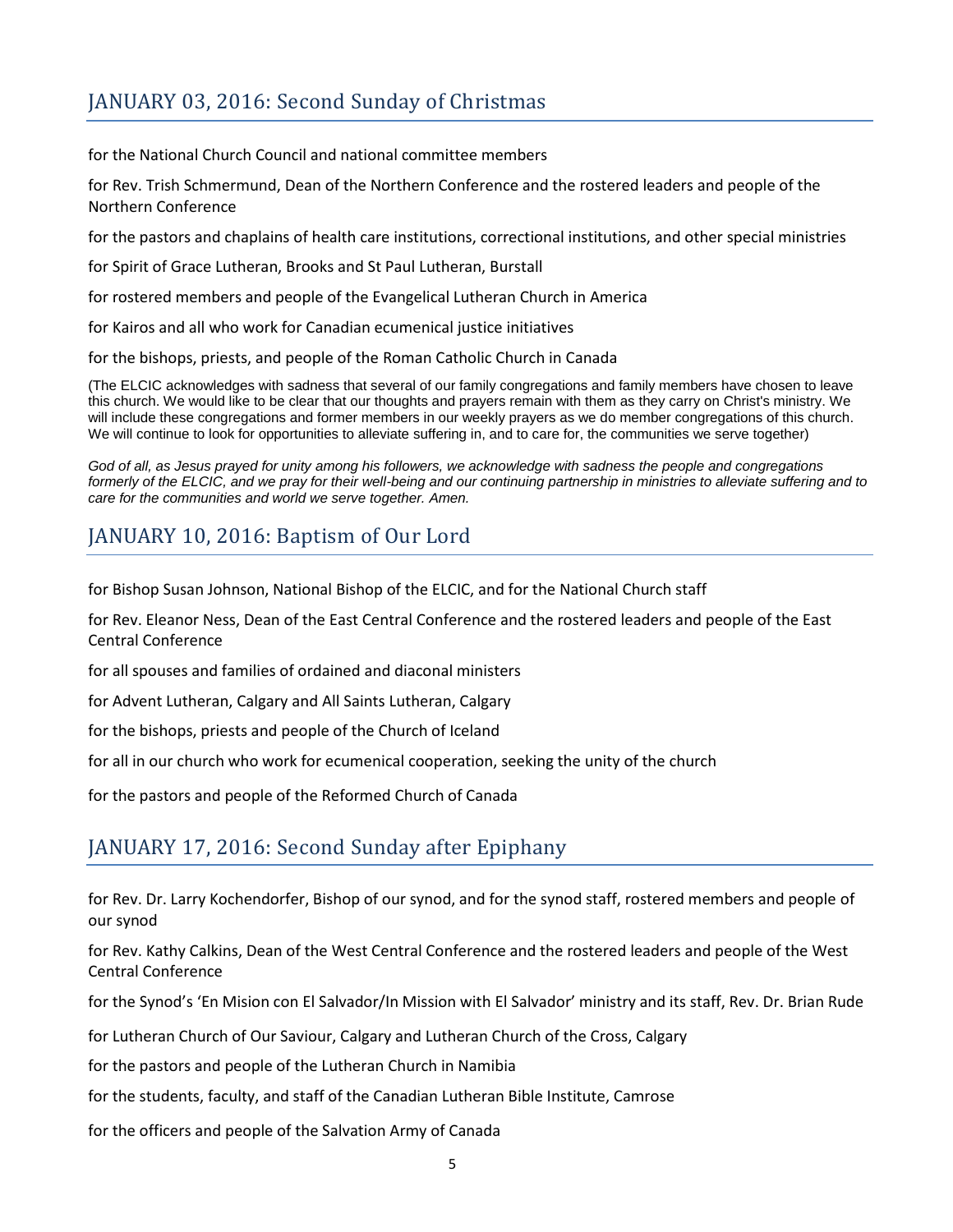# JANUARY 03, 2016: Second Sunday of Christmas

for the National Church Council and national committee members

for Rev. Trish Schmermund, Dean of the Northern Conference and the rostered leaders and people of the Northern Conference

for the pastors and chaplains of health care institutions, correctional institutions, and other special ministries

for Spirit of Grace Lutheran, Brooks and St Paul Lutheran, Burstall

for rostered members and people of the Evangelical Lutheran Church in America

for Kairos and all who work for Canadian ecumenical justice initiatives

for the bishops, priests, and people of the Roman Catholic Church in Canada

(The ELCIC acknowledges with sadness that several of our family congregations and family members have chosen to leave this church. We would like to be clear that our thoughts and prayers remain with them as they carry on Christ's ministry. We will include these congregations and former members in our weekly prayers as we do member congregations of this church. We will continue to look for opportunities to alleviate suffering in, and to care for, the communities we serve together)

*God of all, as Jesus prayed for unity among his followers, we acknowledge with sadness the people and congregations formerly of the ELCIC, and we pray for their well-being and our continuing partnership in ministries to alleviate suffering and to care for the communities and world we serve together. Amen.*

#### JANUARY 10, 2016: Baptism of Our Lord

for Bishop Susan Johnson, National Bishop of the ELCIC, and for the National Church staff

for Rev. Eleanor Ness, Dean of the East Central Conference and the rostered leaders and people of the East Central Conference

for all spouses and families of ordained and diaconal ministers

for Advent Lutheran, Calgary and All Saints Lutheran, Calgary

for the bishops, priests and people of the Church of Iceland

for all in our church who work for ecumenical cooperation, seeking the unity of the church

for the pastors and people of the Reformed Church of Canada

### JANUARY 17, 2016: Second Sunday after Epiphany

for Rev. Dr. Larry Kochendorfer, Bishop of our synod, and for the synod staff, rostered members and people of our synod

for Rev. Kathy Calkins, Dean of the West Central Conference and the rostered leaders and people of the West Central Conference

for the Synod's 'En Mision con El Salvador/In Mission with El Salvador' ministry and its staff, Rev. Dr. Brian Rude

for Lutheran Church of Our Saviour, Calgary and Lutheran Church of the Cross, Calgary

for the pastors and people of the Lutheran Church in Namibia

for the students, faculty, and staff of the Canadian Lutheran Bible Institute, Camrose

for the officers and people of the Salvation Army of Canada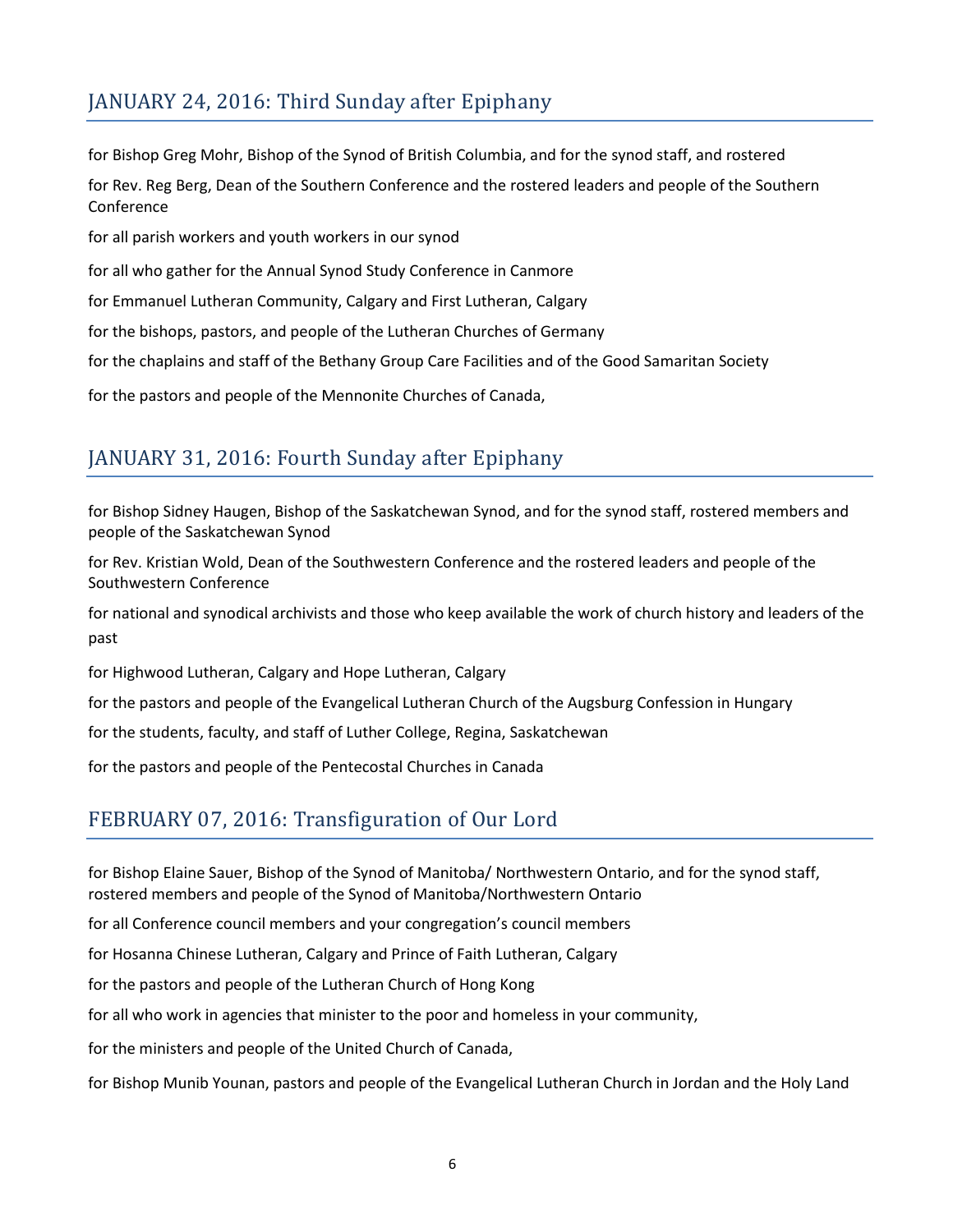# JANUARY 24, 2016: Third Sunday after Epiphany

for Bishop Greg Mohr, Bishop of the Synod of British Columbia, and for the synod staff, and rostered for Rev. Reg Berg, Dean of the Southern Conference and the rostered leaders and people of the Southern Conference for all parish workers and youth workers in our synod for all who gather for the Annual Synod Study Conference in Canmore for Emmanuel Lutheran Community, Calgary and First Lutheran, Calgary for the bishops, pastors, and people of the Lutheran Churches of Germany for the chaplains and staff of the Bethany Group Care Facilities and of the Good Samaritan Society for the pastors and people of the Mennonite Churches of Canada,

# JANUARY 31, 2016: Fourth Sunday after Epiphany

for Bishop Sidney Haugen, Bishop of the Saskatchewan Synod, and for the synod staff, rostered members and people of the Saskatchewan Synod

for Rev. Kristian Wold, Dean of the Southwestern Conference and the rostered leaders and people of the Southwestern Conference

for national and synodical archivists and those who keep available the work of church history and leaders of the past

for Highwood Lutheran, Calgary and Hope Lutheran, Calgary

for the pastors and people of the Evangelical Lutheran Church of the Augsburg Confession in Hungary

for the students, faculty, and staff of Luther College, Regina, Saskatchewan

for the pastors and people of the Pentecostal Churches in Canada

## FEBRUARY 07, 2016: Transfiguration of Our Lord

for Bishop Elaine Sauer, Bishop of the Synod of Manitoba/ Northwestern Ontario, and for the synod staff, rostered members and people of the Synod of Manitoba/Northwestern Ontario

for all Conference council members and your congregation's council members

for Hosanna Chinese Lutheran, Calgary and Prince of Faith Lutheran, Calgary

for the pastors and people of the Lutheran Church of Hong Kong

for all who work in agencies that minister to the poor and homeless in your community,

for the ministers and people of the United Church of Canada,

for Bishop Munib Younan, pastors and people of the Evangelical Lutheran Church in Jordan and the Holy Land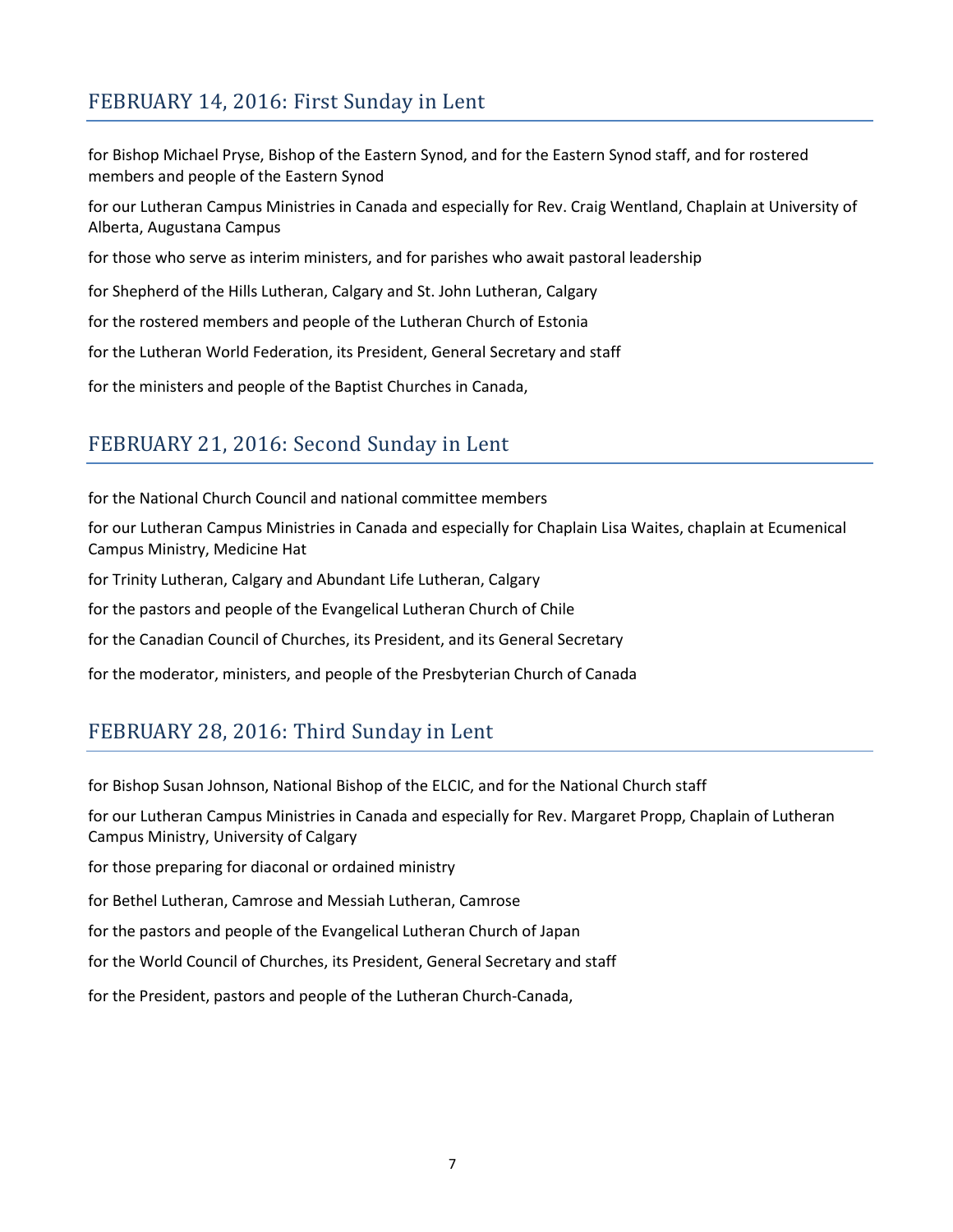## FEBRUARY 14, 2016: First Sunday in Lent

for Bishop Michael Pryse, Bishop of the Eastern Synod, and for the Eastern Synod staff, and for rostered members and people of the Eastern Synod

for our Lutheran Campus Ministries in Canada and especially for Rev. Craig Wentland, Chaplain at University of Alberta, Augustana Campus

for those who serve as interim ministers, and for parishes who await pastoral leadership

for Shepherd of the Hills Lutheran, Calgary and St. John Lutheran, Calgary

for the rostered members and people of the Lutheran Church of Estonia

for the Lutheran World Federation, its President, General Secretary and staff

for the ministers and people of the Baptist Churches in Canada,

### FEBRUARY 21, 2016: Second Sunday in Lent

for the National Church Council and national committee members

for our Lutheran Campus Ministries in Canada and especially for Chaplain Lisa Waites, chaplain at Ecumenical Campus Ministry, Medicine Hat

for Trinity Lutheran, Calgary and Abundant Life Lutheran, Calgary

for the pastors and people of the Evangelical Lutheran Church of Chile

for the Canadian Council of Churches, its President, and its General Secretary

for the moderator, ministers, and people of the Presbyterian Church of Canada

### FEBRUARY 28, 2016: Third Sunday in Lent

for Bishop Susan Johnson, National Bishop of the ELCIC, and for the National Church staff

for our Lutheran Campus Ministries in Canada and especially for Rev. Margaret Propp, Chaplain of Lutheran Campus Ministry, University of Calgary

for those preparing for diaconal or ordained ministry

for Bethel Lutheran, Camrose and Messiah Lutheran, Camrose

for the pastors and people of the Evangelical Lutheran Church of Japan

for the World Council of Churches, its President, General Secretary and staff

for the President, pastors and people of the Lutheran Church-Canada,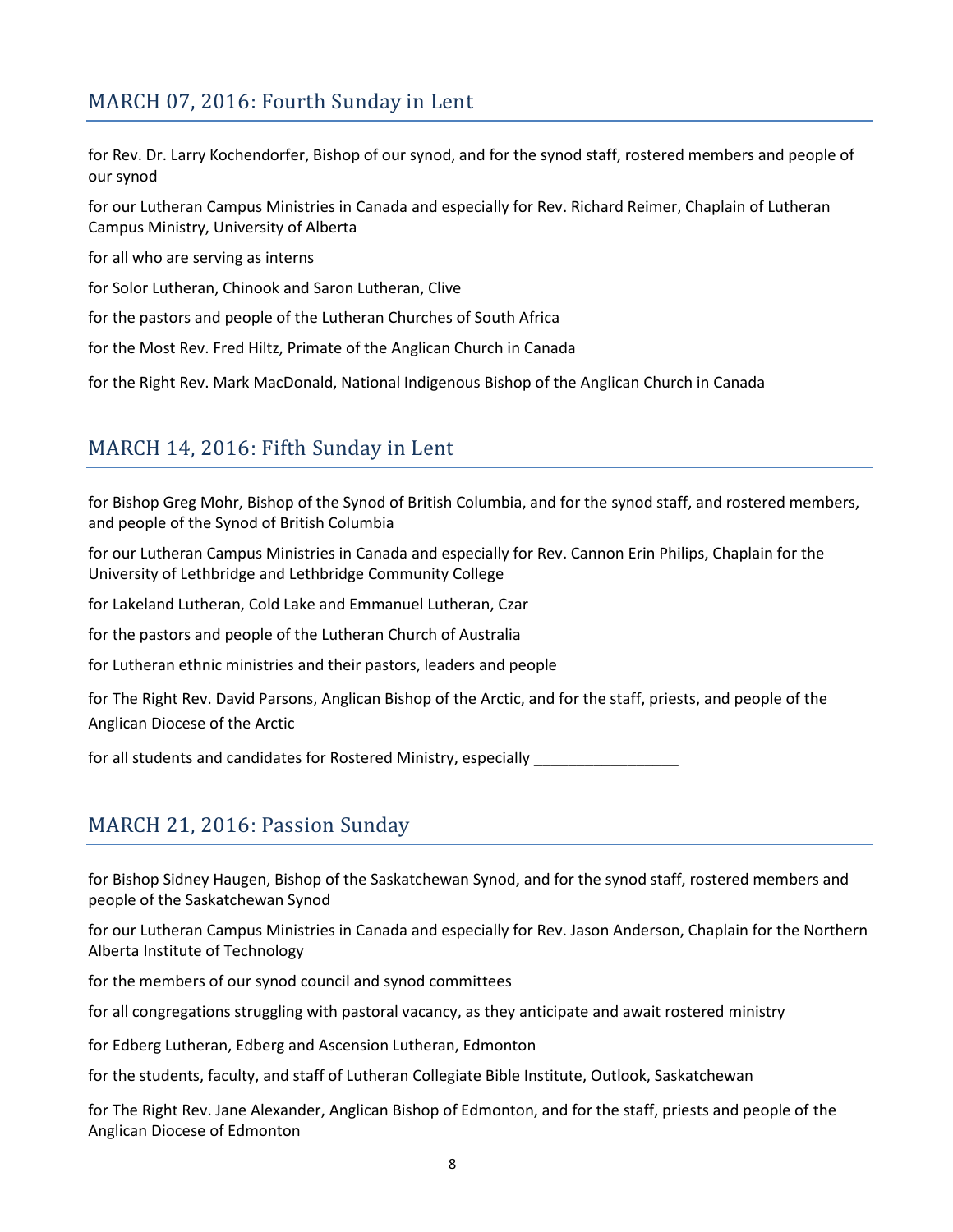## MARCH 07, 2016: Fourth Sunday in Lent

for Rev. Dr. Larry Kochendorfer, Bishop of our synod, and for the synod staff, rostered members and people of our synod

for our Lutheran Campus Ministries in Canada and especially for Rev. Richard Reimer, Chaplain of Lutheran Campus Ministry, University of Alberta

for all who are serving as interns

for Solor Lutheran, Chinook and Saron Lutheran, Clive

for the pastors and people of the Lutheran Churches of South Africa

for the Most Rev. Fred Hiltz, Primate of the Anglican Church in Canada

for the Right Rev. Mark MacDonald, National Indigenous Bishop of the Anglican Church in Canada

#### MARCH 14, 2016: Fifth Sunday in Lent

for Bishop Greg Mohr, Bishop of the Synod of British Columbia, and for the synod staff, and rostered members, and people of the Synod of British Columbia

for our Lutheran Campus Ministries in Canada and especially for Rev. Cannon Erin Philips, Chaplain for the University of Lethbridge and Lethbridge Community College

for Lakeland Lutheran, Cold Lake and Emmanuel Lutheran, Czar

for the pastors and people of the Lutheran Church of Australia

for Lutheran ethnic ministries and their pastors, leaders and people

for The Right Rev. David Parsons, Anglican Bishop of the Arctic, and for the staff, priests, and people of the Anglican Diocese of the Arctic

for all students and candidates for Rostered Ministry, especially \_\_\_\_\_\_\_\_\_\_\_\_\_\_\_

#### MARCH 21, 2016: Passion Sunday

for Bishop Sidney Haugen, Bishop of the Saskatchewan Synod, and for the synod staff, rostered members and people of the Saskatchewan Synod

for our Lutheran Campus Ministries in Canada and especially for Rev. Jason Anderson, Chaplain for the Northern Alberta Institute of Technology

for the members of our synod council and synod committees

for all congregations struggling with pastoral vacancy, as they anticipate and await rostered ministry

for Edberg Lutheran, Edberg and Ascension Lutheran, Edmonton

for the students, faculty, and staff of Lutheran Collegiate Bible Institute, Outlook, Saskatchewan

for The Right Rev. Jane Alexander, Anglican Bishop of Edmonton, and for the staff, priests and people of the Anglican Diocese of Edmonton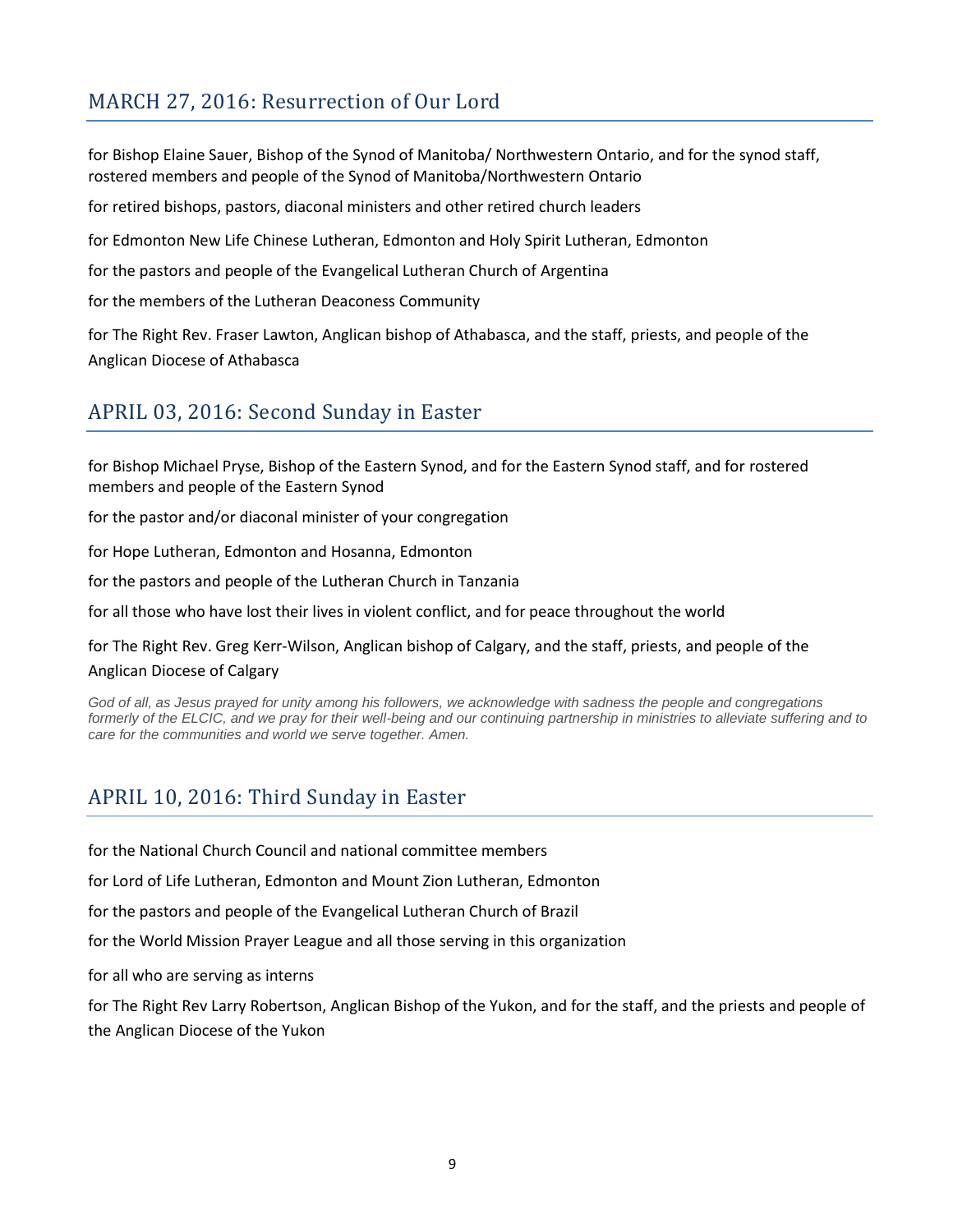## MARCH 27, 2016: Resurrection of Our Lord

for Bishop Elaine Sauer, Bishop of the Synod of Manitoba/ Northwestern Ontario, and for the synod staff, rostered members and people of the Synod of Manitoba/Northwestern Ontario

for retired bishops, pastors, diaconal ministers and other retired church leaders

for Edmonton New Life Chinese Lutheran, Edmonton and Holy Spirit Lutheran, Edmonton

for the pastors and people of the Evangelical Lutheran Church of Argentina

for the members of the Lutheran Deaconess Community

for The Right Rev. Fraser Lawton, Anglican bishop of Athabasca, and the staff, priests, and people of the Anglican Diocese of Athabasca

### APRIL 03, 2016: Second Sunday in Easter

for Bishop Michael Pryse, Bishop of the Eastern Synod, and for the Eastern Synod staff, and for rostered members and people of the Eastern Synod

for the pastor and/or diaconal minister of your congregation

for Hope Lutheran, Edmonton and Hosanna, Edmonton

for the pastors and people of the Lutheran Church in Tanzania

for all those who have lost their lives in violent conflict, and for peace throughout the world

for The Right Rev. Greg Kerr-Wilson, Anglican bishop of Calgary, and the staff, priests, and people of the Anglican Diocese of Calgary

God of all, as Jesus prayed for unity among his followers, we acknowledge with sadness the people and congregations *formerly of the ELCIC, and we pray for their well-being and our continuing partnership in ministries to alleviate suffering and to care for the communities and world we serve together. Amen.*

### APRIL 10, 2016: Third Sunday in Easter

for the National Church Council and national committee members

for Lord of Life Lutheran, Edmonton and Mount Zion Lutheran, Edmonton

for the pastors and people of the Evangelical Lutheran Church of Brazil

for the World Mission Prayer League and all those serving in this organization

for all who are serving as interns

for The Right Rev Larry Robertson, Anglican Bishop of the Yukon, and for the staff, and the priests and people of the Anglican Diocese of the Yukon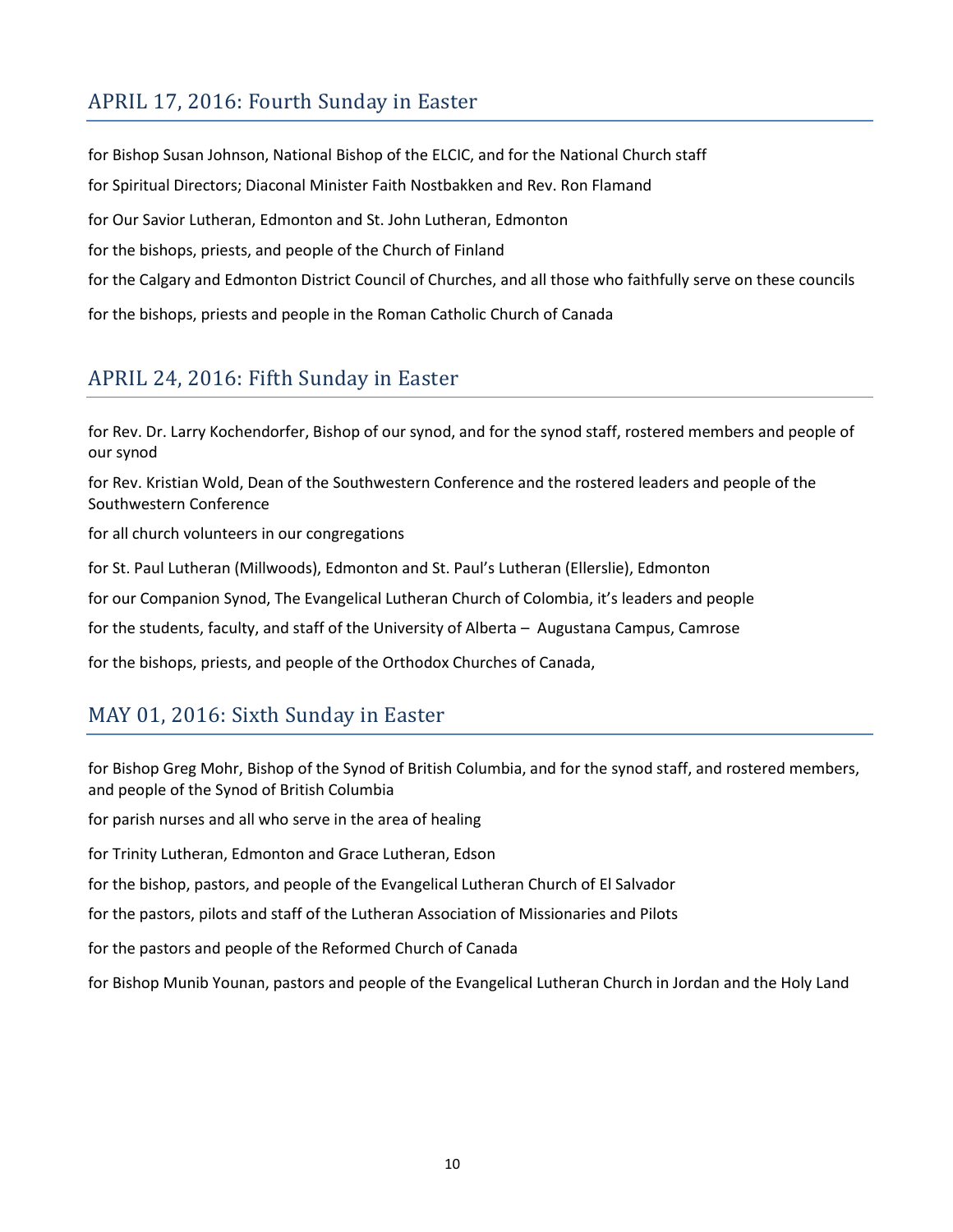## APRIL 17, 2016: Fourth Sunday in Easter

for Bishop Susan Johnson, National Bishop of the ELCIC, and for the National Church staff for Spiritual Directors; Diaconal Minister Faith Nostbakken and Rev. Ron Flamand for Our Savior Lutheran, Edmonton and St. John Lutheran, Edmonton for the bishops, priests, and people of the Church of Finland for the Calgary and Edmonton District Council of Churches, and all those who faithfully serve on these councils for the bishops, priests and people in the Roman Catholic Church of Canada

## APRIL 24, 2016: Fifth Sunday in Easter

for Rev. Dr. Larry Kochendorfer, Bishop of our synod, and for the synod staff, rostered members and people of our synod

for Rev. Kristian Wold, Dean of the Southwestern Conference and the rostered leaders and people of the Southwestern Conference

for all church volunteers in our congregations

for St. Paul Lutheran (Millwoods), Edmonton and St. Paul's Lutheran (Ellerslie), Edmonton

for our Companion Synod, The Evangelical Lutheran Church of Colombia, it's leaders and people

for the students, faculty, and staff of the University of Alberta – Augustana Campus, Camrose

for the bishops, priests, and people of the Orthodox Churches of Canada,

#### MAY 01, 2016: Sixth Sunday in Easter

for Bishop Greg Mohr, Bishop of the Synod of British Columbia, and for the synod staff, and rostered members, and people of the Synod of British Columbia

for parish nurses and all who serve in the area of healing

for Trinity Lutheran, Edmonton and Grace Lutheran, Edson

for the bishop, pastors, and people of the Evangelical Lutheran Church of El Salvador

for the pastors, pilots and staff of the Lutheran Association of Missionaries and Pilots

for the pastors and people of the Reformed Church of Canada

for Bishop Munib Younan, pastors and people of the Evangelical Lutheran Church in Jordan and the Holy Land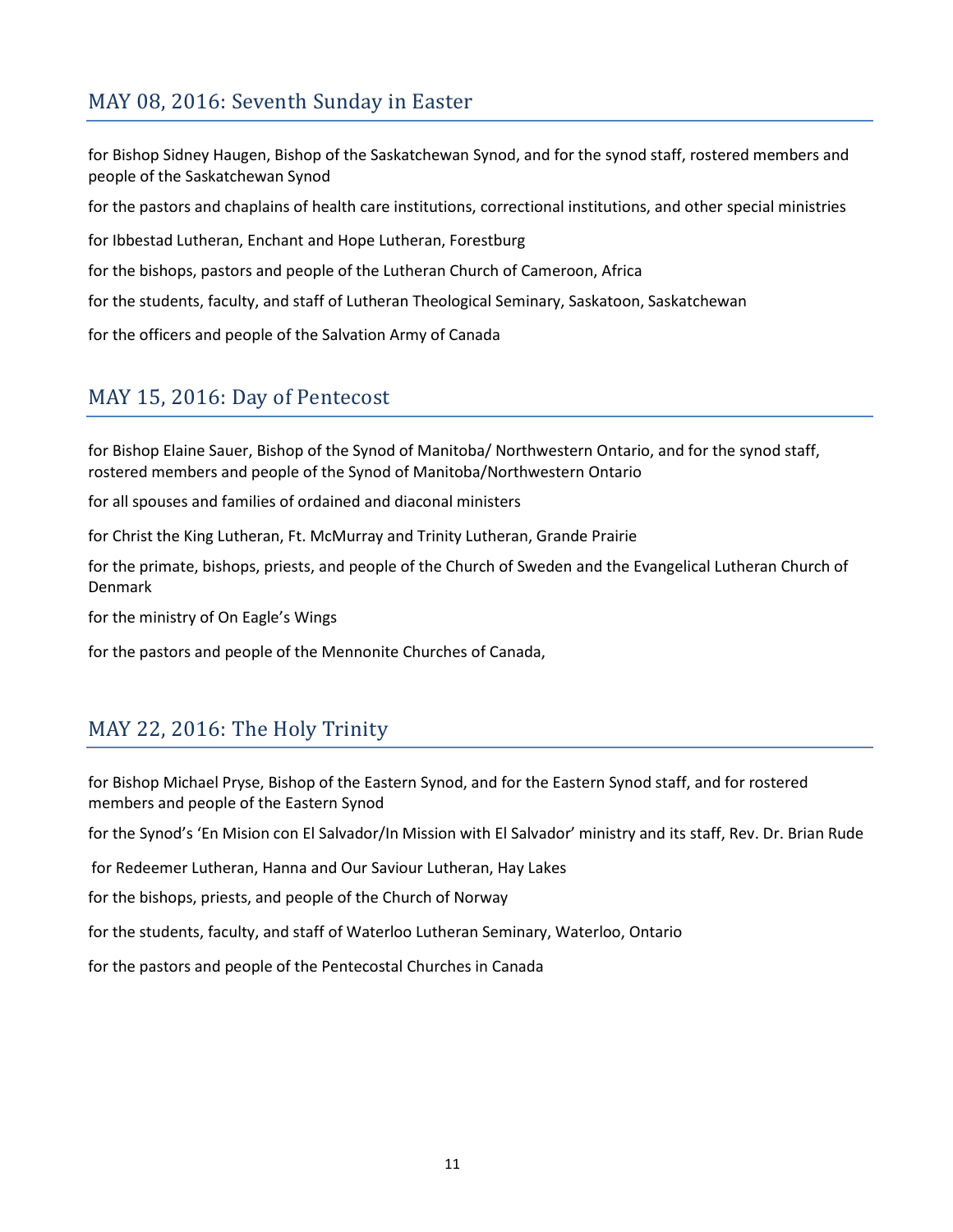## MAY 08, 2016: Seventh Sunday in Easter

for Bishop Sidney Haugen, Bishop of the Saskatchewan Synod, and for the synod staff, rostered members and people of the Saskatchewan Synod

for the pastors and chaplains of health care institutions, correctional institutions, and other special ministries

for Ibbestad Lutheran, Enchant and Hope Lutheran, Forestburg

for the bishops, pastors and people of the Lutheran Church of Cameroon, Africa

for the students, faculty, and staff of Lutheran Theological Seminary, Saskatoon, Saskatchewan

for the officers and people of the Salvation Army of Canada

#### MAY 15, 2016: Day of Pentecost

for Bishop Elaine Sauer, Bishop of the Synod of Manitoba/ Northwestern Ontario, and for the synod staff, rostered members and people of the Synod of Manitoba/Northwestern Ontario

for all spouses and families of ordained and diaconal ministers

for Christ the King Lutheran, Ft. McMurray and Trinity Lutheran, Grande Prairie

for the primate, bishops, priests, and people of the Church of Sweden and the Evangelical Lutheran Church of Denmark

for the ministry of On Eagle's Wings

for the pastors and people of the Mennonite Churches of Canada,

### MAY 22, 2016: The Holy Trinity

for Bishop Michael Pryse, Bishop of the Eastern Synod, and for the Eastern Synod staff, and for rostered members and people of the Eastern Synod

for the Synod's 'En Mision con El Salvador/In Mission with El Salvador' ministry and its staff, Rev. Dr. Brian Rude

for Redeemer Lutheran, Hanna and Our Saviour Lutheran, Hay Lakes

for the bishops, priests, and people of the Church of Norway

for the students, faculty, and staff of Waterloo Lutheran Seminary, Waterloo, Ontario

for the pastors and people of the Pentecostal Churches in Canada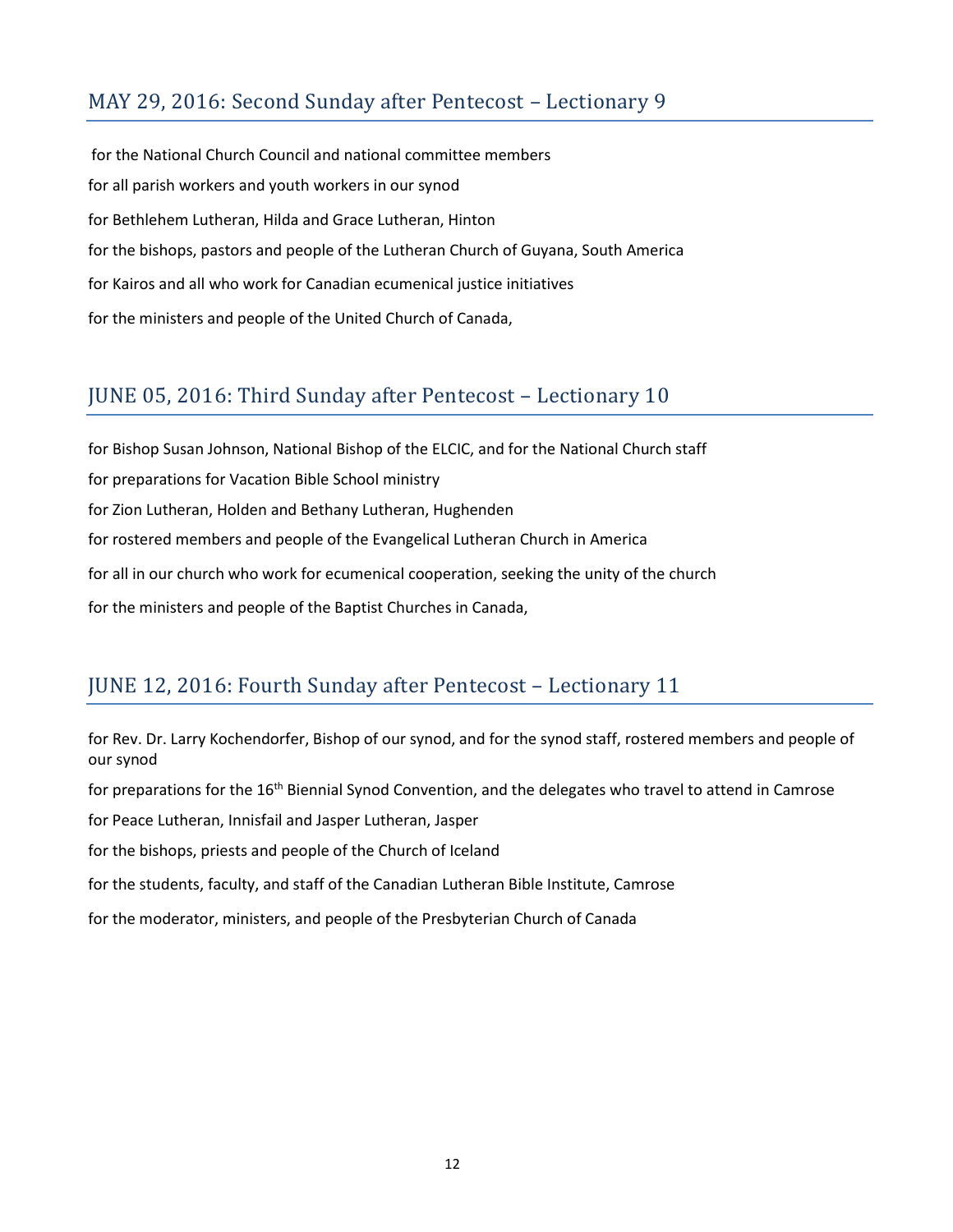## MAY 29, 2016: Second Sunday after Pentecost – Lectionary 9

for the National Church Council and national committee members for all parish workers and youth workers in our synod for Bethlehem Lutheran, Hilda and Grace Lutheran, Hinton for the bishops, pastors and people of the Lutheran Church of Guyana, South America for Kairos and all who work for Canadian ecumenical justice initiatives for the ministers and people of the United Church of Canada,

#### JUNE 05, 2016: Third Sunday after Pentecost – Lectionary 10

for Bishop Susan Johnson, National Bishop of the ELCIC, and for the National Church staff for preparations for Vacation Bible School ministry for Zion Lutheran, Holden and Bethany Lutheran, Hughenden for rostered members and people of the Evangelical Lutheran Church in America for all in our church who work for ecumenical cooperation, seeking the unity of the church for the ministers and people of the Baptist Churches in Canada,

### JUNE 12, 2016: Fourth Sunday after Pentecost – Lectionary 11

for Rev. Dr. Larry Kochendorfer, Bishop of our synod, and for the synod staff, rostered members and people of our synod

for preparations for the 16<sup>th</sup> Biennial Synod Convention, and the delegates who travel to attend in Camrose

for Peace Lutheran, Innisfail and Jasper Lutheran, Jasper

for the bishops, priests and people of the Church of Iceland

for the students, faculty, and staff of the Canadian Lutheran Bible Institute, Camrose

for the moderator, ministers, and people of the Presbyterian Church of Canada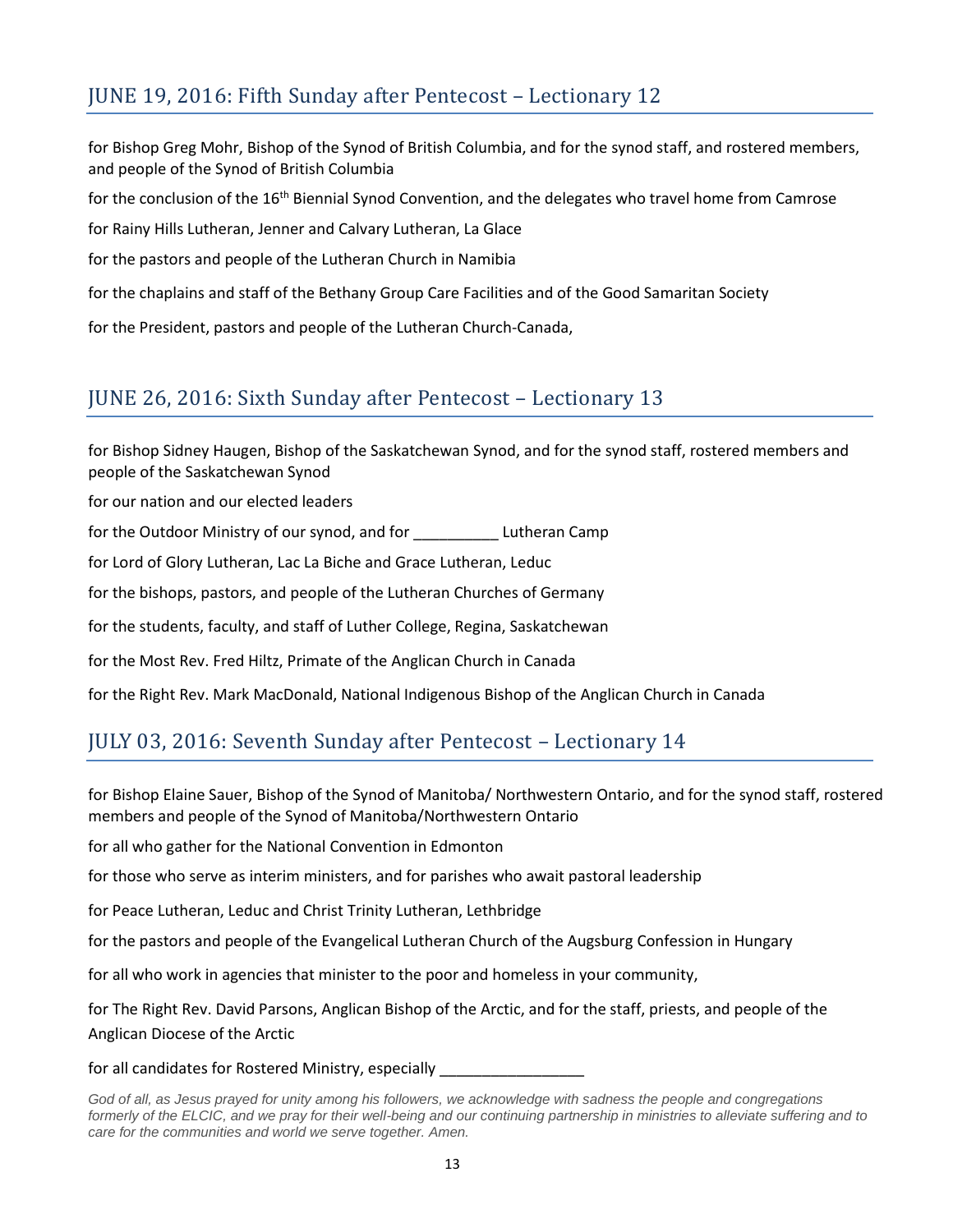## JUNE 19, 2016: Fifth Sunday after Pentecost – Lectionary 12

for Bishop Greg Mohr, Bishop of the Synod of British Columbia, and for the synod staff, and rostered members, and people of the Synod of British Columbia

for the conclusion of the 16<sup>th</sup> Biennial Synod Convention, and the delegates who travel home from Camrose

for Rainy Hills Lutheran, Jenner and Calvary Lutheran, La Glace

for the pastors and people of the Lutheran Church in Namibia

for the chaplains and staff of the Bethany Group Care Facilities and of the Good Samaritan Society

for the President, pastors and people of the Lutheran Church-Canada,

#### JUNE 26, 2016: Sixth Sunday after Pentecost – Lectionary 13

for Bishop Sidney Haugen, Bishop of the Saskatchewan Synod, and for the synod staff, rostered members and people of the Saskatchewan Synod

for our nation and our elected leaders

for the Outdoor Ministry of our synod, and for **Lutheran Camp** 

for Lord of Glory Lutheran, Lac La Biche and Grace Lutheran, Leduc

for the bishops, pastors, and people of the Lutheran Churches of Germany

for the students, faculty, and staff of Luther College, Regina, Saskatchewan

for the Most Rev. Fred Hiltz, Primate of the Anglican Church in Canada

for the Right Rev. Mark MacDonald, National Indigenous Bishop of the Anglican Church in Canada

### JULY 03, 2016: Seventh Sunday after Pentecost – Lectionary 14

for Bishop Elaine Sauer, Bishop of the Synod of Manitoba/ Northwestern Ontario, and for the synod staff, rostered members and people of the Synod of Manitoba/Northwestern Ontario

for all who gather for the National Convention in Edmonton

for those who serve as interim ministers, and for parishes who await pastoral leadership

for Peace Lutheran, Leduc and Christ Trinity Lutheran, Lethbridge

for the pastors and people of the Evangelical Lutheran Church of the Augsburg Confession in Hungary

for all who work in agencies that minister to the poor and homeless in your community,

for The Right Rev. David Parsons, Anglican Bishop of the Arctic, and for the staff, priests, and people of the Anglican Diocese of the Arctic

for all candidates for Rostered Ministry, especially

God of all, as Jesus prayed for unity among his followers, we acknowledge with sadness the people and congregations *formerly of the ELCIC, and we pray for their well-being and our continuing partnership in ministries to alleviate suffering and to care for the communities and world we serve together. Amen.*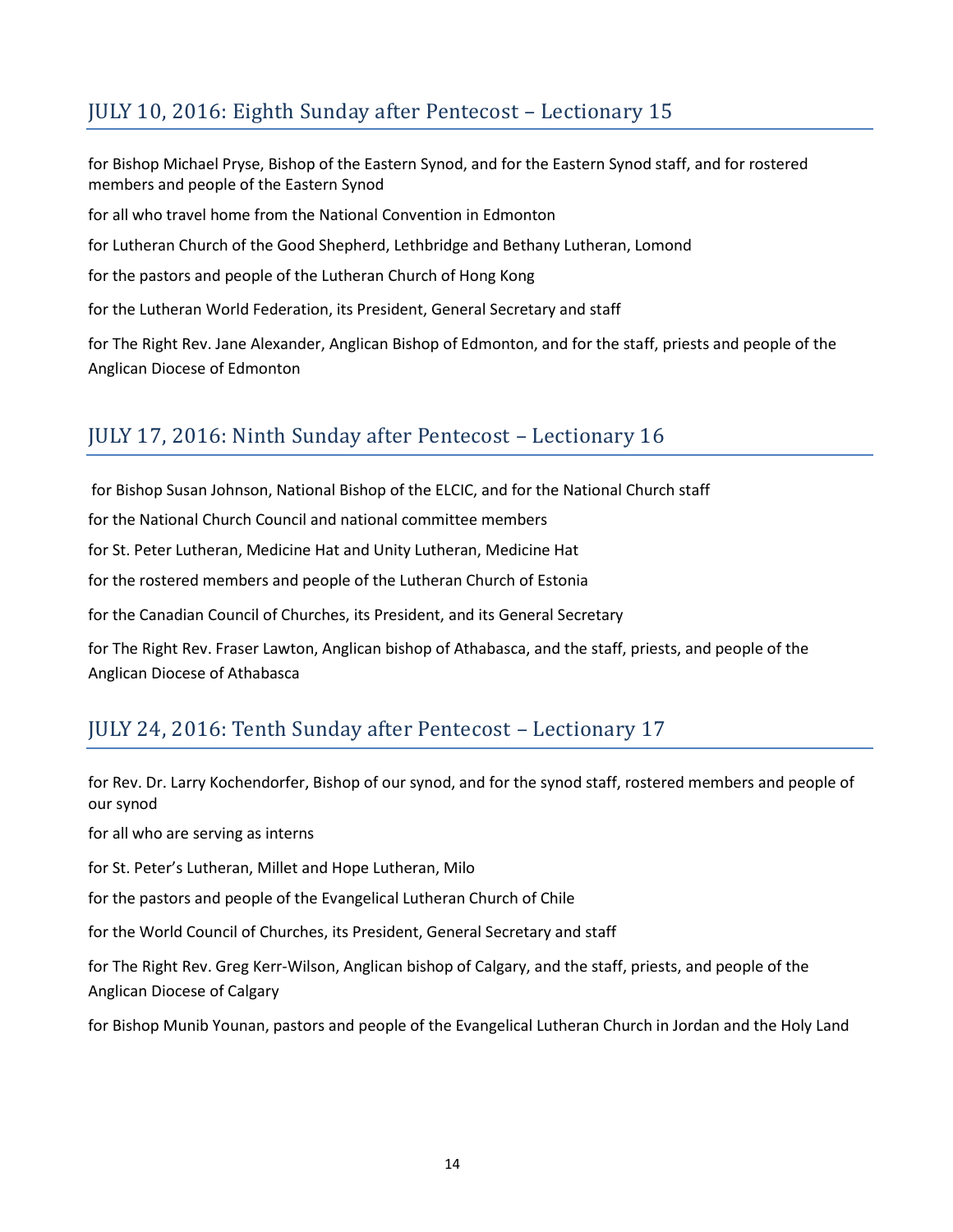## JULY 10, 2016: Eighth Sunday after Pentecost – Lectionary 15

for Bishop Michael Pryse, Bishop of the Eastern Synod, and for the Eastern Synod staff, and for rostered members and people of the Eastern Synod for all who travel home from the National Convention in Edmonton for Lutheran Church of the Good Shepherd, Lethbridge and Bethany Lutheran, Lomond for the pastors and people of the Lutheran Church of Hong Kong for the Lutheran World Federation, its President, General Secretary and staff for The Right Rev. Jane Alexander, Anglican Bishop of Edmonton, and for the staff, priests and people of the

Anglican Diocese of Edmonton

### JULY 17, 2016: Ninth Sunday after Pentecost – Lectionary 16

for Bishop Susan Johnson, National Bishop of the ELCIC, and for the National Church staff

for the National Church Council and national committee members

for St. Peter Lutheran, Medicine Hat and Unity Lutheran, Medicine Hat

for the rostered members and people of the Lutheran Church of Estonia

for the Canadian Council of Churches, its President, and its General Secretary

for The Right Rev. Fraser Lawton, Anglican bishop of Athabasca, and the staff, priests, and people of the Anglican Diocese of Athabasca

## JULY 24, 2016: Tenth Sunday after Pentecost – Lectionary 17

for Rev. Dr. Larry Kochendorfer, Bishop of our synod, and for the synod staff, rostered members and people of our synod

for all who are serving as interns

for St. Peter's Lutheran, Millet and Hope Lutheran, Milo

for the pastors and people of the Evangelical Lutheran Church of Chile

for the World Council of Churches, its President, General Secretary and staff

for The Right Rev. Greg Kerr-Wilson, Anglican bishop of Calgary, and the staff, priests, and people of the Anglican Diocese of Calgary

for Bishop Munib Younan, pastors and people of the Evangelical Lutheran Church in Jordan and the Holy Land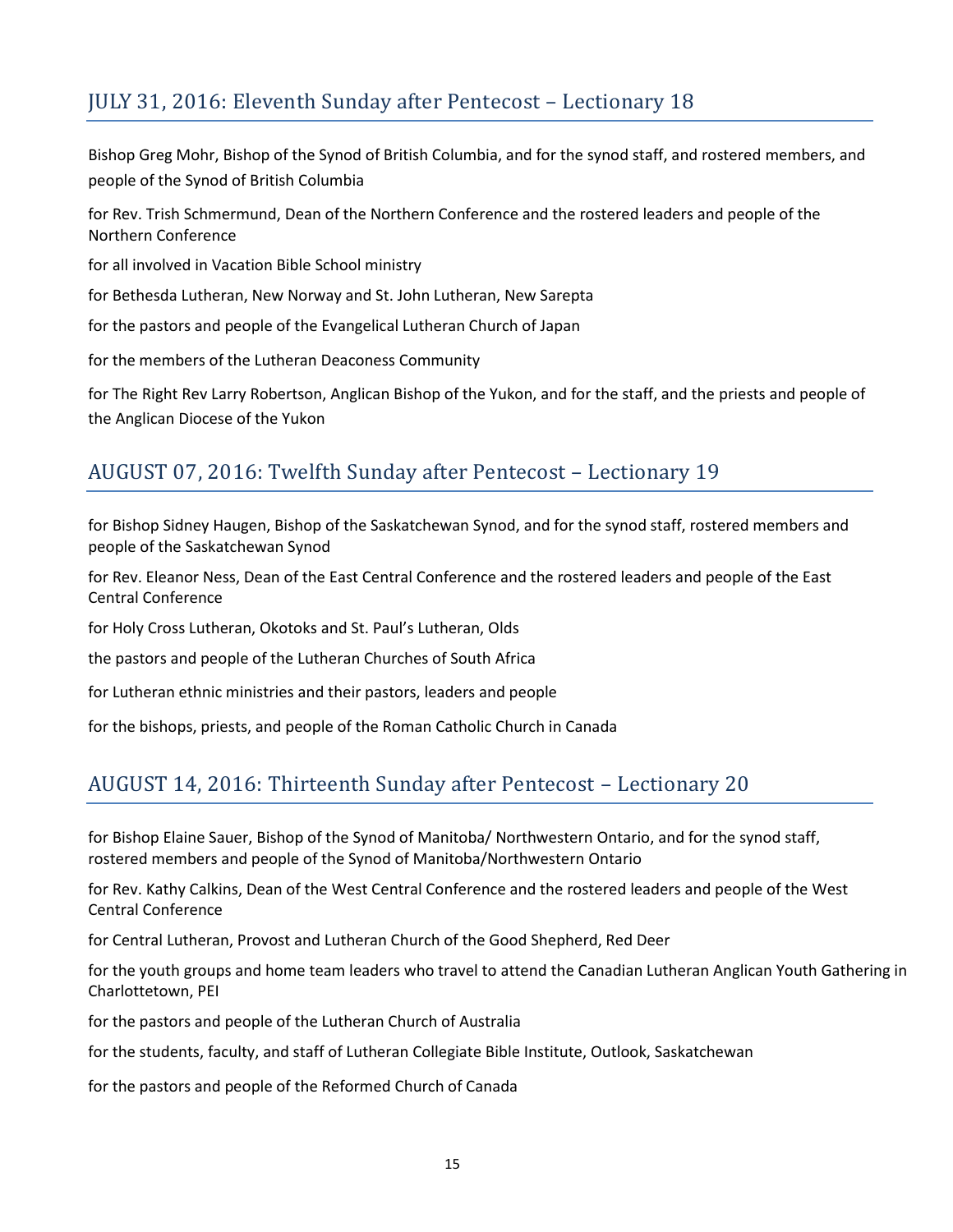## JULY 31, 2016: Eleventh Sunday after Pentecost – Lectionary 18

Bishop Greg Mohr, Bishop of the Synod of British Columbia, and for the synod staff, and rostered members, and people of the Synod of British Columbia

for Rev. Trish Schmermund, Dean of the Northern Conference and the rostered leaders and people of the Northern Conference

for all involved in Vacation Bible School ministry

for Bethesda Lutheran, New Norway and St. John Lutheran, New Sarepta

for the pastors and people of the Evangelical Lutheran Church of Japan

for the members of the Lutheran Deaconess Community

for The Right Rev Larry Robertson, Anglican Bishop of the Yukon, and for the staff, and the priests and people of the Anglican Diocese of the Yukon

#### AUGUST 07, 2016: Twelfth Sunday after Pentecost – Lectionary 19

for Bishop Sidney Haugen, Bishop of the Saskatchewan Synod, and for the synod staff, rostered members and people of the Saskatchewan Synod

for Rev. Eleanor Ness, Dean of the East Central Conference and the rostered leaders and people of the East Central Conference

for Holy Cross Lutheran, Okotoks and St. Paul's Lutheran, Olds

the pastors and people of the Lutheran Churches of South Africa

for Lutheran ethnic ministries and their pastors, leaders and people

for the bishops, priests, and people of the Roman Catholic Church in Canada

### AUGUST 14, 2016: Thirteenth Sunday after Pentecost – Lectionary 20

for Bishop Elaine Sauer, Bishop of the Synod of Manitoba/ Northwestern Ontario, and for the synod staff, rostered members and people of the Synod of Manitoba/Northwestern Ontario

for Rev. Kathy Calkins, Dean of the West Central Conference and the rostered leaders and people of the West Central Conference

for Central Lutheran, Provost and Lutheran Church of the Good Shepherd, Red Deer

for the youth groups and home team leaders who travel to attend the Canadian Lutheran Anglican Youth Gathering in Charlottetown, PEI

for the pastors and people of the Lutheran Church of Australia

for the students, faculty, and staff of Lutheran Collegiate Bible Institute, Outlook, Saskatchewan

for the pastors and people of the Reformed Church of Canada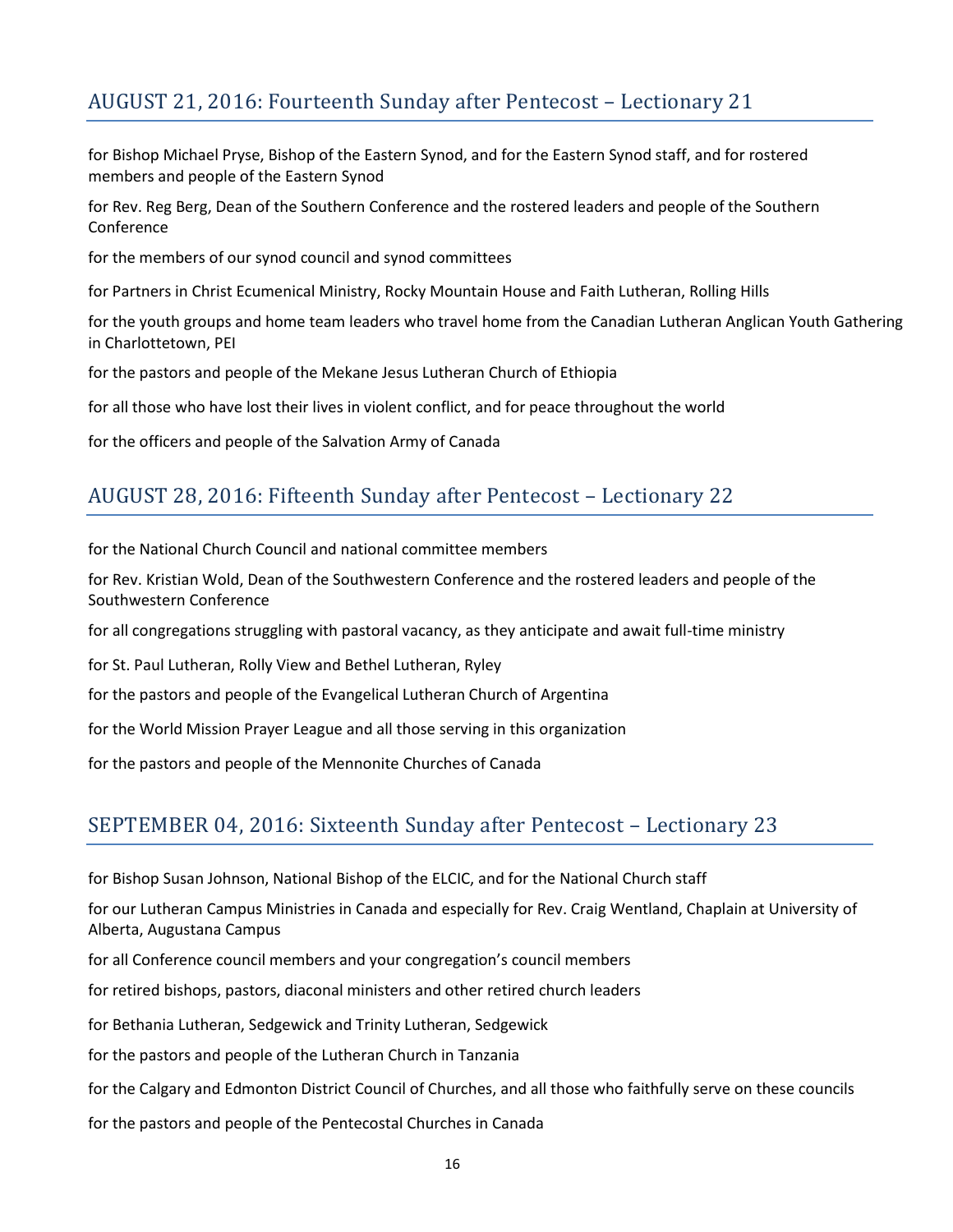## AUGUST 21, 2016: Fourteenth Sunday after Pentecost – Lectionary 21

for Bishop Michael Pryse, Bishop of the Eastern Synod, and for the Eastern Synod staff, and for rostered members and people of the Eastern Synod

for Rev. Reg Berg, Dean of the Southern Conference and the rostered leaders and people of the Southern Conference

for the members of our synod council and synod committees

for Partners in Christ Ecumenical Ministry, Rocky Mountain House and Faith Lutheran, Rolling Hills

for the youth groups and home team leaders who travel home from the Canadian Lutheran Anglican Youth Gathering in Charlottetown, PEI

for the pastors and people of the Mekane Jesus Lutheran Church of Ethiopia

for all those who have lost their lives in violent conflict, and for peace throughout the world

for the officers and people of the Salvation Army of Canada

#### AUGUST 28, 2016: Fifteenth Sunday after Pentecost – Lectionary 22

for the National Church Council and national committee members

for Rev. Kristian Wold, Dean of the Southwestern Conference and the rostered leaders and people of the Southwestern Conference

for all congregations struggling with pastoral vacancy, as they anticipate and await full-time ministry

for St. Paul Lutheran, Rolly View and Bethel Lutheran, Ryley

for the pastors and people of the Evangelical Lutheran Church of Argentina

for the World Mission Prayer League and all those serving in this organization

for the pastors and people of the Mennonite Churches of Canada

#### SEPTEMBER 04, 2016: Sixteenth Sunday after Pentecost – Lectionary 23

for Bishop Susan Johnson, National Bishop of the ELCIC, and for the National Church staff

for our Lutheran Campus Ministries in Canada and especially for Rev. Craig Wentland, Chaplain at University of Alberta, Augustana Campus

for all Conference council members and your congregation's council members

for retired bishops, pastors, diaconal ministers and other retired church leaders

for Bethania Lutheran, Sedgewick and Trinity Lutheran, Sedgewick

for the pastors and people of the Lutheran Church in Tanzania

for the Calgary and Edmonton District Council of Churches, and all those who faithfully serve on these councils

for the pastors and people of the Pentecostal Churches in Canada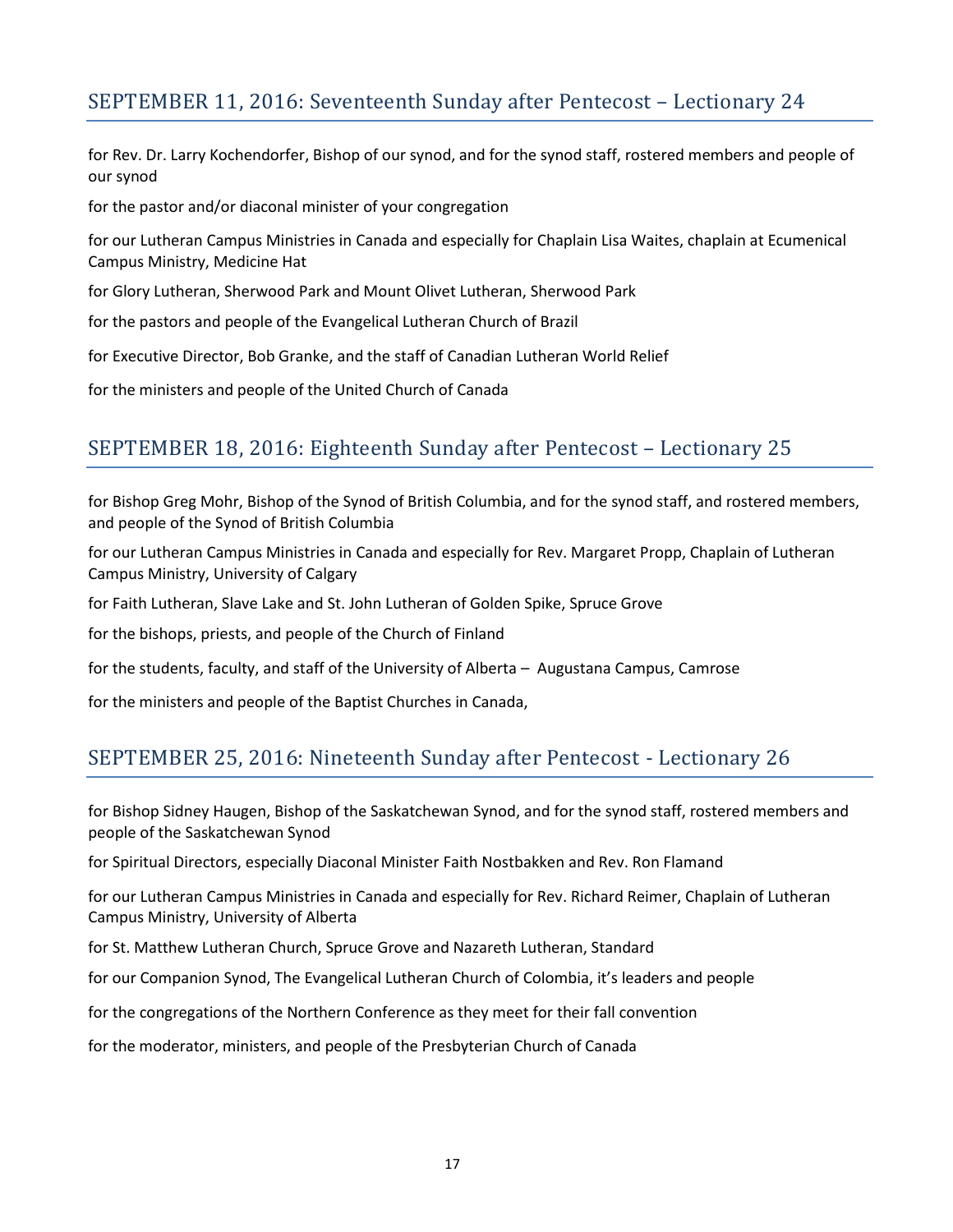## SEPTEMBER 11, 2016: Seventeenth Sunday after Pentecost – Lectionary 24

for Rev. Dr. Larry Kochendorfer, Bishop of our synod, and for the synod staff, rostered members and people of our synod

for the pastor and/or diaconal minister of your congregation

for our Lutheran Campus Ministries in Canada and especially for Chaplain Lisa Waites, chaplain at Ecumenical Campus Ministry, Medicine Hat

for Glory Lutheran, Sherwood Park and Mount Olivet Lutheran, Sherwood Park

for the pastors and people of the Evangelical Lutheran Church of Brazil

for Executive Director, Bob Granke, and the staff of Canadian Lutheran World Relief

for the ministers and people of the United Church of Canada

#### SEPTEMBER 18, 2016: Eighteenth Sunday after Pentecost – Lectionary 25

for Bishop Greg Mohr, Bishop of the Synod of British Columbia, and for the synod staff, and rostered members, and people of the Synod of British Columbia

for our Lutheran Campus Ministries in Canada and especially for Rev. Margaret Propp, Chaplain of Lutheran Campus Ministry, University of Calgary

for Faith Lutheran, Slave Lake and St. John Lutheran of Golden Spike, Spruce Grove

for the bishops, priests, and people of the Church of Finland

for the students, faculty, and staff of the University of Alberta – Augustana Campus, Camrose

for the ministers and people of the Baptist Churches in Canada,

#### SEPTEMBER 25, 2016: Nineteenth Sunday after Pentecost - Lectionary 26

for Bishop Sidney Haugen, Bishop of the Saskatchewan Synod, and for the synod staff, rostered members and people of the Saskatchewan Synod

for Spiritual Directors, especially Diaconal Minister Faith Nostbakken and Rev. Ron Flamand

for our Lutheran Campus Ministries in Canada and especially for Rev. Richard Reimer, Chaplain of Lutheran Campus Ministry, University of Alberta

for St. Matthew Lutheran Church, Spruce Grove and Nazareth Lutheran, Standard

for our Companion Synod, The Evangelical Lutheran Church of Colombia, it's leaders and people

for the congregations of the Northern Conference as they meet for their fall convention

for the moderator, ministers, and people of the Presbyterian Church of Canada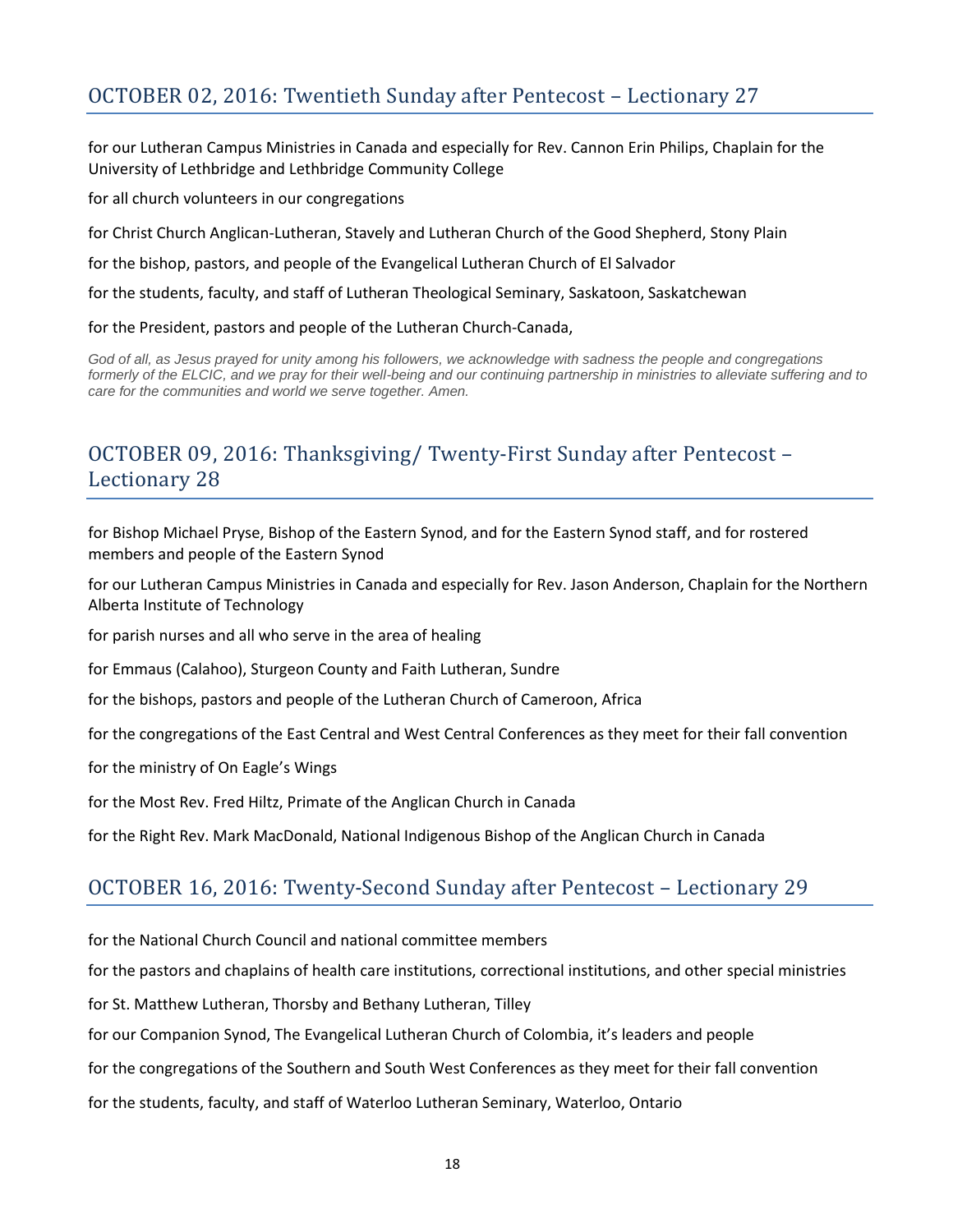for our Lutheran Campus Ministries in Canada and especially for Rev. Cannon Erin Philips, Chaplain for the University of Lethbridge and Lethbridge Community College

for all church volunteers in our congregations

for Christ Church Anglican-Lutheran, Stavely and Lutheran Church of the Good Shepherd, Stony Plain

for the bishop, pastors, and people of the Evangelical Lutheran Church of El Salvador

for the students, faculty, and staff of Lutheran Theological Seminary, Saskatoon, Saskatchewan

#### for the President, pastors and people of the Lutheran Church-Canada,

God of all, as Jesus prayed for unity among his followers, we acknowledge with sadness the people and congregations *formerly of the ELCIC, and we pray for their well-being and our continuing partnership in ministries to alleviate suffering and to care for the communities and world we serve together. Amen.*

## OCTOBER 09, 2016: Thanksgiving/ Twenty-First Sunday after Pentecost – Lectionary 28

for Bishop Michael Pryse, Bishop of the Eastern Synod, and for the Eastern Synod staff, and for rostered members and people of the Eastern Synod

for our Lutheran Campus Ministries in Canada and especially for Rev. Jason Anderson, Chaplain for the Northern Alberta Institute of Technology

for parish nurses and all who serve in the area of healing

for Emmaus (Calahoo), Sturgeon County and Faith Lutheran, Sundre

for the bishops, pastors and people of the Lutheran Church of Cameroon, Africa

for the congregations of the East Central and West Central Conferences as they meet for their fall convention

for the ministry of On Eagle's Wings

for the Most Rev. Fred Hiltz, Primate of the Anglican Church in Canada

for the Right Rev. Mark MacDonald, National Indigenous Bishop of the Anglican Church in Canada

### OCTOBER 16, 2016: Twenty-Second Sunday after Pentecost – Lectionary 29

for the National Church Council and national committee members

for the pastors and chaplains of health care institutions, correctional institutions, and other special ministries

for St. Matthew Lutheran, Thorsby and Bethany Lutheran, Tilley

for our Companion Synod, The Evangelical Lutheran Church of Colombia, it's leaders and people

for the congregations of the Southern and South West Conferences as they meet for their fall convention

for the students, faculty, and staff of Waterloo Lutheran Seminary, Waterloo, Ontario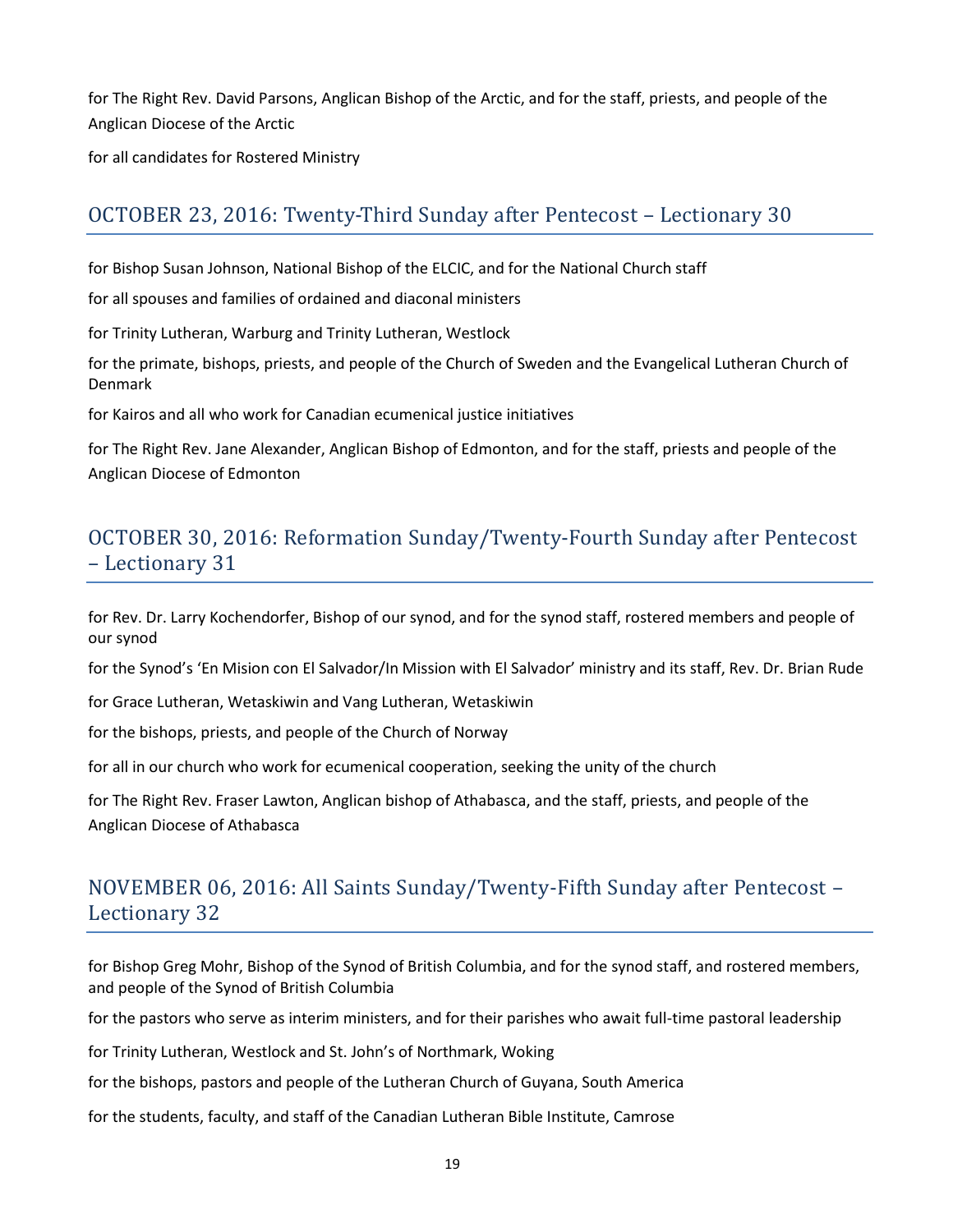for The Right Rev. David Parsons, Anglican Bishop of the Arctic, and for the staff, priests, and people of the Anglican Diocese of the Arctic

for all candidates for Rostered Ministry

### OCTOBER 23, 2016: Twenty-Third Sunday after Pentecost – Lectionary 30

for Bishop Susan Johnson, National Bishop of the ELCIC, and for the National Church staff

for all spouses and families of ordained and diaconal ministers

for Trinity Lutheran, Warburg and Trinity Lutheran, Westlock

for the primate, bishops, priests, and people of the Church of Sweden and the Evangelical Lutheran Church of Denmark

for Kairos and all who work for Canadian ecumenical justice initiatives

for The Right Rev. Jane Alexander, Anglican Bishop of Edmonton, and for the staff, priests and people of the Anglican Diocese of Edmonton

## OCTOBER 30, 2016: Reformation Sunday/Twenty-Fourth Sunday after Pentecost – Lectionary 31

for Rev. Dr. Larry Kochendorfer, Bishop of our synod, and for the synod staff, rostered members and people of our synod

for the Synod's 'En Mision con El Salvador/In Mission with El Salvador' ministry and its staff, Rev. Dr. Brian Rude

for Grace Lutheran, Wetaskiwin and Vang Lutheran, Wetaskiwin

for the bishops, priests, and people of the Church of Norway

for all in our church who work for ecumenical cooperation, seeking the unity of the church

for The Right Rev. Fraser Lawton, Anglican bishop of Athabasca, and the staff, priests, and people of the Anglican Diocese of Athabasca

## NOVEMBER 06, 2016: All Saints Sunday/Twenty-Fifth Sunday after Pentecost – Lectionary 32

for Bishop Greg Mohr, Bishop of the Synod of British Columbia, and for the synod staff, and rostered members, and people of the Synod of British Columbia

for the pastors who serve as interim ministers, and for their parishes who await full-time pastoral leadership

for Trinity Lutheran, Westlock and St. John's of Northmark, Woking

for the bishops, pastors and people of the Lutheran Church of Guyana, South America

for the students, faculty, and staff of the Canadian Lutheran Bible Institute, Camrose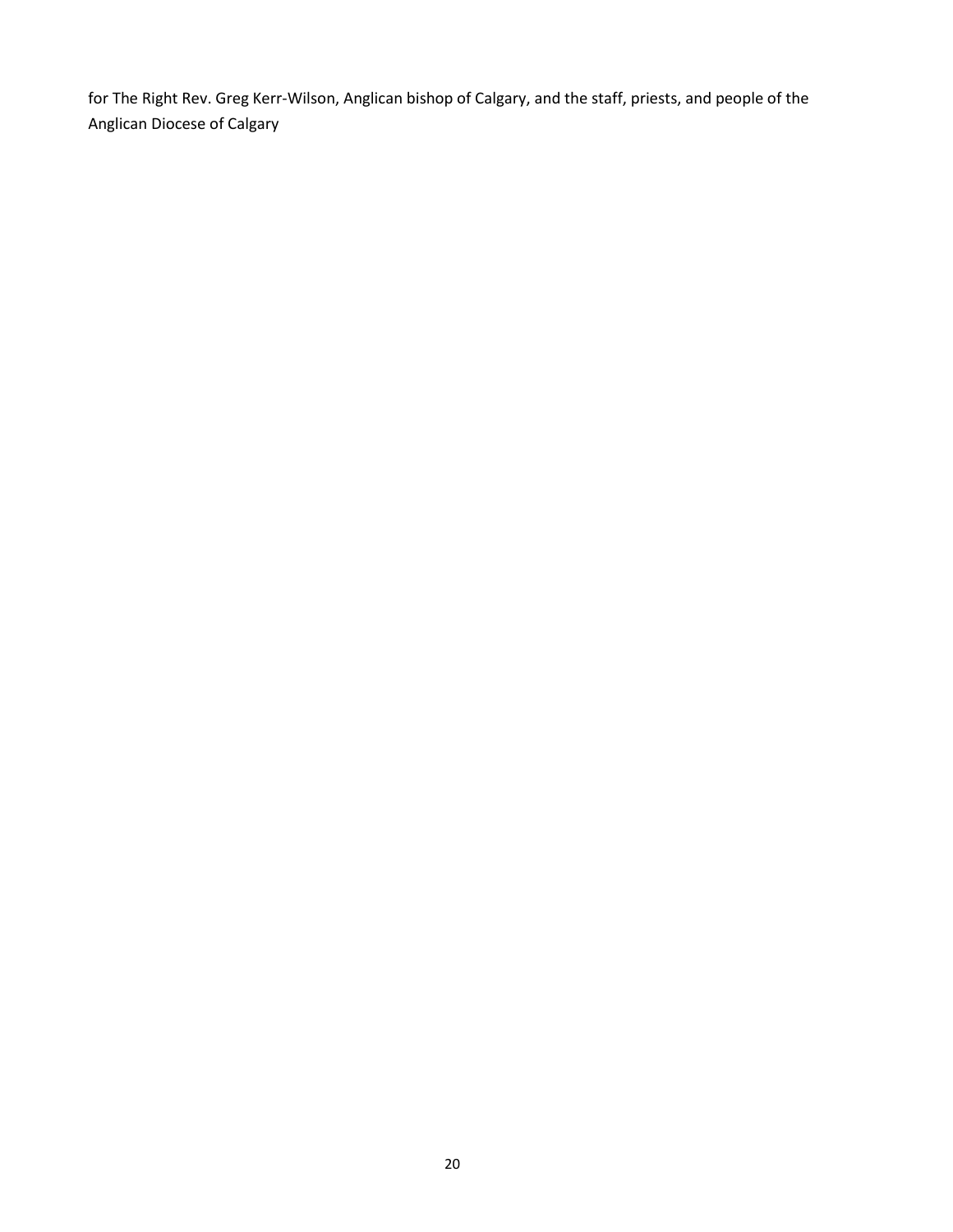for The Right Rev. Greg Kerr-Wilson, Anglican bishop of Calgary, and the staff, priests, and people of the Anglican Diocese of Calgary